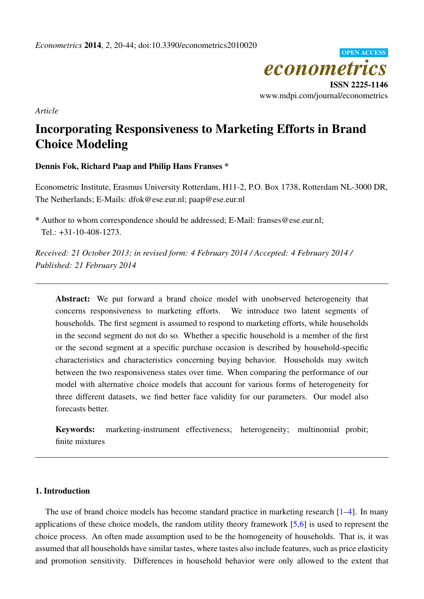

*Article*

# Incorporating Responsiveness to Marketing Efforts in Brand Choice Modeling

# Dennis Fok, Richard Paap and Philip Hans Franses \*

Econometric Institute, Erasmus University Rotterdam, H11-2, P.O. Box 1738, Rotterdam NL-3000 DR, The Netherlands; E-Mails: dfok@ese.eur.nl; paap@ese.eur.nl

\* Author to whom correspondence should be addressed; E-Mail: franses@ese.eur.nl; Tel.: +31-10-408-1273.

*Received: 21 October 2013; in revised form: 4 February 2014 / Accepted: 4 February 2014 / Published: 21 February 2014*

Abstract: We put forward a brand choice model with unobserved heterogeneity that concerns responsiveness to marketing efforts. We introduce two latent segments of households. The first segment is assumed to respond to marketing efforts, while households in the second segment do not do so. Whether a specific household is a member of the first or the second segment at a specific purchase occasion is described by household-specific characteristics and characteristics concerning buying behavior. Households may switch between the two responsiveness states over time. When comparing the performance of our model with alternative choice models that account for various forms of heterogeneity for three different datasets, we find better face validity for our parameters. Our model also forecasts better.

Keywords: marketing-instrument effectiveness; heterogeneity; multinomial probit; finite mixtures

# 1. Introduction

The use of brand choice models has become standard practice in marketing research [\[1–](#page-22-0)[4\]](#page-22-1). In many applications of these choice models, the random utility theory framework [\[5,](#page-22-2)[6\]](#page-22-3) is used to represent the choice process. An often made assumption used to be the homogeneity of households. That is, it was assumed that all households have similar tastes, where tastes also include features, such as price elasticity and promotion sensitivity. Differences in household behavior were only allowed to the extent that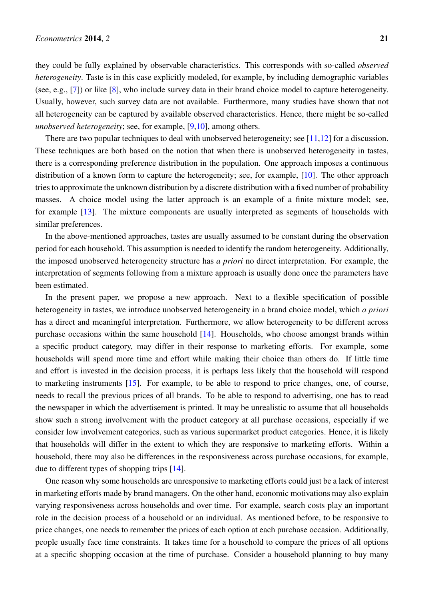they could be fully explained by observable characteristics. This corresponds with so-called *observed heterogeneity*. Taste is in this case explicitly modeled, for example, by including demographic variables (see, e.g., [\[7\]](#page-22-4)) or like [\[8\]](#page-22-5), who include survey data in their brand choice model to capture heterogeneity. Usually, however, such survey data are not available. Furthermore, many studies have shown that not all heterogeneity can be captured by available observed characteristics. Hence, there might be so-called *unobserved heterogeneity*; see, for example, [\[9,](#page-22-6)[10\]](#page-22-7), among others.

There are two popular techniques to deal with unobserved heterogeneity; see [\[11,](#page-22-8)[12\]](#page-23-0) for a discussion. These techniques are both based on the notion that when there is unobserved heterogeneity in tastes, there is a corresponding preference distribution in the population. One approach imposes a continuous distribution of a known form to capture the heterogeneity; see, for example, [\[10\]](#page-22-7). The other approach tries to approximate the unknown distribution by a discrete distribution with a fixed number of probability masses. A choice model using the latter approach is an example of a finite mixture model; see, for example [\[13\]](#page-23-1). The mixture components are usually interpreted as segments of households with similar preferences.

In the above-mentioned approaches, tastes are usually assumed to be constant during the observation period for each household. This assumption is needed to identify the random heterogeneity. Additionally, the imposed unobserved heterogeneity structure has *a priori* no direct interpretation. For example, the interpretation of segments following from a mixture approach is usually done once the parameters have been estimated.

In the present paper, we propose a new approach. Next to a flexible specification of possible heterogeneity in tastes, we introduce unobserved heterogeneity in a brand choice model, which *a priori* has a direct and meaningful interpretation. Furthermore, we allow heterogeneity to be different across purchase occasions within the same household [\[14\]](#page-23-2). Households, who choose amongst brands within a specific product category, may differ in their response to marketing efforts. For example, some households will spend more time and effort while making their choice than others do. If little time and effort is invested in the decision process, it is perhaps less likely that the household will respond to marketing instruments [\[15\]](#page-23-3). For example, to be able to respond to price changes, one, of course, needs to recall the previous prices of all brands. To be able to respond to advertising, one has to read the newspaper in which the advertisement is printed. It may be unrealistic to assume that all households show such a strong involvement with the product category at all purchase occasions, especially if we consider low involvement categories, such as various supermarket product categories. Hence, it is likely that households will differ in the extent to which they are responsive to marketing efforts. Within a household, there may also be differences in the responsiveness across purchase occasions, for example, due to different types of shopping trips [\[14\]](#page-23-2).

One reason why some households are unresponsive to marketing efforts could just be a lack of interest in marketing efforts made by brand managers. On the other hand, economic motivations may also explain varying responsiveness across households and over time. For example, search costs play an important role in the decision process of a household or an individual. As mentioned before, to be responsive to price changes, one needs to remember the prices of each option at each purchase occasion. Additionally, people usually face time constraints. It takes time for a household to compare the prices of all options at a specific shopping occasion at the time of purchase. Consider a household planning to buy many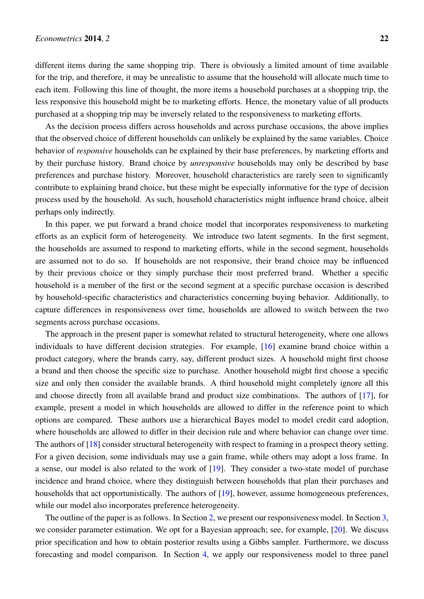different items during the same shopping trip. There is obviously a limited amount of time available for the trip, and therefore, it may be unrealistic to assume that the household will allocate much time to each item. Following this line of thought, the more items a household purchases at a shopping trip, the less responsive this household might be to marketing efforts. Hence, the monetary value of all products purchased at a shopping trip may be inversely related to the responsiveness to marketing efforts.

As the decision process differs across households and across purchase occasions, the above implies that the observed choice of different households can unlikely be explained by the same variables. Choice behavior of *responsive* households can be explained by their base preferences, by marketing efforts and by their purchase history. Brand choice by *unresponsive* households may only be described by base preferences and purchase history. Moreover, household characteristics are rarely seen to significantly contribute to explaining brand choice, but these might be especially informative for the type of decision process used by the household. As such, household characteristics might influence brand choice, albeit perhaps only indirectly.

In this paper, we put forward a brand choice model that incorporates responsiveness to marketing efforts as an explicit form of heterogeneity. We introduce two latent segments. In the first segment, the households are assumed to respond to marketing efforts, while in the second segment, households are assumed not to do so. If households are not responsive, their brand choice may be influenced by their previous choice or they simply purchase their most preferred brand. Whether a specific household is a member of the first or the second segment at a specific purchase occasion is described by household-specific characteristics and characteristics concerning buying behavior. Additionally, to capture differences in responsiveness over time, households are allowed to switch between the two segments across purchase occasions.

The approach in the present paper is somewhat related to structural heterogeneity, where one allows individuals to have different decision strategies. For example, [\[16\]](#page-23-4) examine brand choice within a product category, where the brands carry, say, different product sizes. A household might first choose a brand and then choose the specific size to purchase. Another household might first choose a specific size and only then consider the available brands. A third household might completely ignore all this and choose directly from all available brand and product size combinations. The authors of [\[17\]](#page-23-5), for example, present a model in which households are allowed to differ in the reference point to which options are compared. These authors use a hierarchical Bayes model to model credit card adoption, where households are allowed to differ in their decision rule and where behavior can change over time. The authors of [\[18\]](#page-23-6) consider structural heterogeneity with respect to framing in a prospect theory setting. For a given decision, some individuals may use a gain frame, while others may adopt a loss frame. In a sense, our model is also related to the work of [\[19\]](#page-23-7). They consider a two-state model of purchase incidence and brand choice, where they distinguish between households that plan their purchases and households that act opportunistically. The authors of [\[19\]](#page-23-7), however, assume homogeneous preferences, while our model also incorporates preference heterogeneity.

The outline of the paper is as follows. In Section [2,](#page-3-0) we present our responsiveness model. In Section [3,](#page-6-0) we consider parameter estimation. We opt for a Bayesian approach; see, for example, [\[20\]](#page-23-8). We discuss prior specification and how to obtain posterior results using a Gibbs sampler. Furthermore, we discuss forecasting and model comparison. In Section [4,](#page-9-0) we apply our responsiveness model to three panel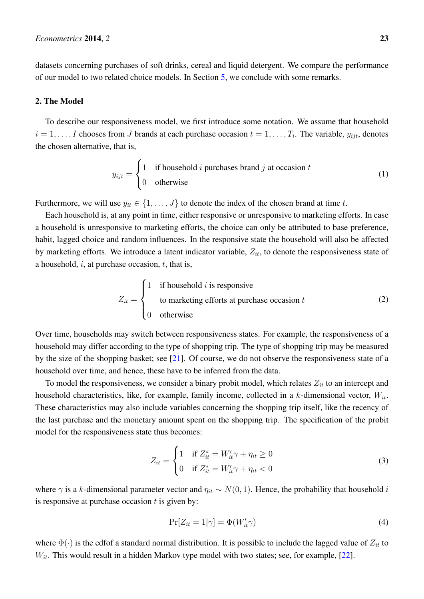datasets concerning purchases of soft drinks, cereal and liquid detergent. We compare the performance of our model to two related choice models. In Section [5,](#page-17-0) we conclude with some remarks.

## <span id="page-3-0"></span>2. The Model

To describe our responsiveness model, we first introduce some notation. We assume that household  $i = 1, \ldots, I$  chooses from J brands at each purchase occasion  $t = 1, \ldots, T_i$ . The variable,  $y_{ijt}$ , denotes the chosen alternative, that is,

$$
y_{ijt} = \begin{cases} 1 & \text{if household } i \text{ purchases brand } j \text{ at occasion } t \\ 0 & \text{otherwise} \end{cases}
$$
 (1)

Furthermore, we will use  $y_{it} \in \{1, \ldots, J\}$  to denote the index of the chosen brand at time t.

Each household is, at any point in time, either responsive or unresponsive to marketing efforts. In case a household is unresponsive to marketing efforts, the choice can only be attributed to base preference, habit, lagged choice and random influences. In the responsive state the household will also be affected by marketing efforts. We introduce a latent indicator variable,  $Z_{it}$ , to denote the responsiveness state of a household,  $i$ , at purchase occasion,  $t$ , that is,

<span id="page-3-2"></span>
$$
Z_{it} = \begin{cases} 1 & \text{if household } i \text{ is responsive} \\ & \text{to marketing efforts at purchase occasion } t \\ 0 & \text{otherwise} \end{cases} \tag{2}
$$

Over time, households may switch between responsiveness states. For example, the responsiveness of a household may differ according to the type of shopping trip. The type of shopping trip may be measured by the size of the shopping basket; see [\[21\]](#page-23-9). Of course, we do not observe the responsiveness state of a household over time, and hence, these have to be inferred from the data.

To model the responsiveness, we consider a binary probit model, which relates  $Z_{it}$  to an intercept and household characteristics, like, for example, family income, collected in a k-dimensional vector,  $W_{it}$ . These characteristics may also include variables concerning the shopping trip itself, like the recency of the last purchase and the monetary amount spent on the shopping trip. The specification of the probit model for the responsiveness state thus becomes:

$$
Z_{it} = \begin{cases} 1 & \text{if } Z_{it}^* = W_{it}' \gamma + \eta_{it} \ge 0 \\ 0 & \text{if } Z_{it}^* = W_{it}' \gamma + \eta_{it} < 0 \end{cases}
$$
(3)

<span id="page-3-3"></span>where  $\gamma$  is a k-dimensional parameter vector and  $\eta_{it} \sim N(0, 1)$ . Hence, the probability that household i is responsive at purchase occasion  $t$  is given by:

<span id="page-3-1"></span>
$$
\Pr[Z_{it} = 1|\gamma] = \Phi(W_{it}'\gamma) \tag{4}
$$

where  $\Phi(\cdot)$  is the cdfof a standard normal distribution. It is possible to include the lagged value of  $Z_{it}$  to  $W_{it}$ . This would result in a hidden Markov type model with two states; see, for example, [\[22\]](#page-23-10).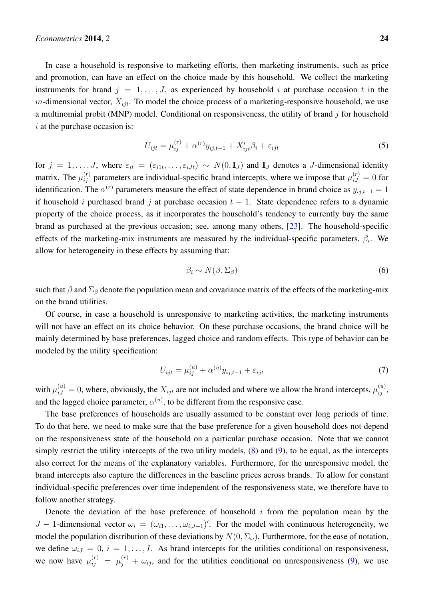In case a household is responsive to marketing efforts, then marketing instruments, such as price and promotion, can have an effect on the choice made by this household. We collect the marketing instruments for brand  $j = 1, \ldots, J$ , as experienced by household i at purchase occasion t in the m-dimensional vector,  $X_{ijt}$ . To model the choice process of a marketing-responsive household, we use a multinomial probit (MNP) model. Conditional on responsiveness, the utility of brand  $j$  for household  $i$  at the purchase occasion is:

<span id="page-4-2"></span>
$$
U_{ijt} = \mu_{ij}^{(r)} + \alpha^{(r)} y_{ij,t-1} + X_{ijt}' \beta_i + \varepsilon_{ijt}
$$
\n
$$
\tag{5}
$$

for  $j = 1, \ldots, J$ , where  $\varepsilon_{it} = (\varepsilon_{i1t}, \ldots, \varepsilon_{iJt}) \sim N(0, \mathbf{I}_J)$  and  $\mathbf{I}_J$  denotes a J-dimensional identity matrix. The  $\mu_{ij}^{(r)}$  parameters are individual-specific brand intercepts, where we impose that  $\mu_{i,j}^{(r)} = 0$  for identification. The  $\alpha^{(r)}$  parameters measure the effect of state dependence in brand choice as  $y_{ij,t-1} = 1$ if household i purchased brand j at purchase occasion  $t - 1$ . State dependence refers to a dynamic property of the choice process, as it incorporates the household's tendency to currently buy the same brand as purchased at the previous occasion; see, among many others, [\[23\]](#page-23-11). The household-specific effects of the marketing-mix instruments are measured by the individual-specific parameters,  $\beta_i$ . We allow for heterogeneity in these effects by assuming that:

<span id="page-4-1"></span>
$$
\beta_i \sim N(\beta, \Sigma_\beta) \tag{6}
$$

such that  $\beta$  and  $\Sigma_\beta$  denote the population mean and covariance matrix of the effects of the marketing-mix on the brand utilities.

Of course, in case a household is unresponsive to marketing activities, the marketing instruments will not have an effect on its choice behavior. On these purchase occasions, the brand choice will be mainly determined by base preferences, lagged choice and random effects. This type of behavior can be modeled by the utility specification:

<span id="page-4-0"></span>
$$
U_{ijt} = \mu_{ij}^{(u)} + \alpha^{(u)} y_{ij,t-1} + \varepsilon_{ijt}
$$
\n(7)

with  $\mu_{iJ}^{(u)} = 0$ , where, obviously, the  $X_{ijt}$  are not included and where we allow the brand intercepts,  $\mu_{ij}^{(u)}$ , and the lagged choice parameter,  $\alpha^{(u)}$ , to be different from the responsive case.

The base preferences of households are usually assumed to be constant over long periods of time. To do that here, we need to make sure that the base preference for a given household does not depend on the responsiveness state of the household on a particular purchase occasion. Note that we cannot simply restrict the utility intercepts of the two utility models, [\(8\)](#page-5-0) and [\(9\)](#page-5-1), to be equal, as the intercepts also correct for the means of the explanatory variables. Furthermore, for the unresponsive model, the brand intercepts also capture the differences in the baseline prices across brands. To allow for constant individual-specific preferences over time independent of the responsiveness state, we therefore have to follow another strategy.

Denote the deviation of the base preference of household  $i$  from the population mean by the J – 1-dimensional vector  $\omega_i = (\omega_{i1}, \dots, \omega_{i,J-1})'$ . For the model with continuous heterogeneity, we model the population distribution of these deviations by  $N(0, \Sigma_{\omega})$ . Furthermore, for the ease of notation, we define  $\omega_{iJ} = 0$ ,  $i = 1, \ldots, I$ . As brand intercepts for the utilities conditional on responsiveness, we now have  $\mu_{ij}^{(r)} = \mu_j^{(r)} + \omega_{ij}$ , and for the utilities conditional on unresponsiveness [\(9\)](#page-5-1), we use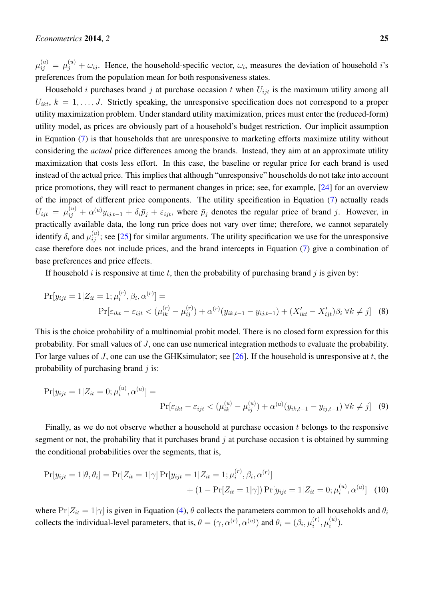$\mu_{ij}^{(u)} = \mu_j^{(u)} + \omega_{ij}$ . Hence, the household-specific vector,  $\omega_i$ , measures the deviation of household *i*'s preferences from the population mean for both responsiveness states.

Household *i* purchases brand *j* at purchase occasion *t* when  $U_{ijt}$  is the maximum utility among all  $U_{ikt}$ ,  $k = 1, \ldots, J$ . Strictly speaking, the unresponsive specification does not correspond to a proper utility maximization problem. Under standard utility maximization, prices must enter the (reduced-form) utility model, as prices are obviously part of a household's budget restriction. Our implicit assumption in Equation [\(7\)](#page-4-0) is that households that are unresponsive to marketing efforts maximize utility without considering the *actual* price differences among the brands. Instead, they aim at an approximate utility maximization that costs less effort. In this case, the baseline or regular price for each brand is used instead of the actual price. This implies that although "unresponsive" households do not take into account price promotions, they will react to permanent changes in price; see, for example, [\[24\]](#page-23-12) for an overview of the impact of different price components. The utility specification in Equation [\(7\)](#page-4-0) actually reads  $U_{ijt} = \mu_{ij}^{(u)} + \alpha^{(u)}y_{ij,t-1} + \delta_i \bar{p}_j + \varepsilon_{ijt}$ , where  $\bar{p}_j$  denotes the regular price of brand j. However, in practically available data, the long run price does not vary over time; therefore, we cannot separately identify  $\delta_i$  and  $\mu_{ij}^{(u)}$ ; see [\[25\]](#page-23-13) for similar arguments. The utility specification we use for the unresponsive case therefore does not include prices, and the brand intercepts in Equation [\(7\)](#page-4-0) give a combination of base preferences and price effects.

<span id="page-5-0"></span>If household i is responsive at time t, then the probability of purchasing brand j is given by:

$$
\Pr[y_{ijt} = 1 | Z_{it} = 1; \mu_i^{(r)}, \beta_i, \alpha^{(r)}] =
$$
\n
$$
\Pr[\varepsilon_{ikt} - \varepsilon_{ijt} < (\mu_{ik}^{(r)} - \mu_{ij}^{(r)}) + \alpha^{(r)}(y_{ik,t-1} - y_{ij,t-1}) + (X_{ikt}' - X_{ijt}')\beta_i \,\forall k \neq j] \tag{8}
$$

This is the choice probability of a multinomial probit model. There is no closed form expression for this probability. For small values of J, one can use numerical integration methods to evaluate the probability. For large values of J, one can use the GHKsimulator; see [\[26\]](#page-23-14). If the household is unresponsive at t, the probability of purchasing brand  $j$  is:

<span id="page-5-1"></span>
$$
\Pr[y_{ijt} = 1 | Z_{it} = 0; \mu_i^{(u)}, \alpha^{(u)}] =
$$
\n
$$
\Pr[\varepsilon_{ikt} - \varepsilon_{ijt} < (\mu_{ik}^{(u)} - \mu_{ij}^{(u)}) + \alpha^{(u)}(y_{ik,t-1} - y_{ij,t-1}) \,\forall k \neq j] \tag{9}
$$

Finally, as we do not observe whether a household at purchase occasion  $t$  belongs to the responsive segment or not, the probability that it purchases brand  $j$  at purchase occasion  $t$  is obtained by summing the conditional probabilities over the segments, that is,

<span id="page-5-2"></span>
$$
Pr[y_{ijt} = 1 | \theta, \theta_i] = Pr[Z_{it} = 1 | \gamma] Pr[y_{ijt} = 1 | Z_{it} = 1; \mu_i^{(r)}, \beta_i, \alpha^{(r)}]
$$

$$
+ (1 - Pr[Z_{it} = 1 | \gamma]) Pr[y_{ijt} = 1 | Z_{it} = 0; \mu_i^{(u)}, \alpha^{(u)}] \tag{10}
$$

where  $Pr[Z_{it} = 1|\gamma]$  is given in Equation [\(4\)](#page-3-1),  $\theta$  collects the parameters common to all households and  $\theta_i$ collects the individual-level parameters, that is,  $\theta = (\gamma, \alpha^{(r)}, \alpha^{(u)})$  and  $\theta_i = (\beta_i, \mu_i^{(r)})$  $\mu_i^{(r)},\mu_i^{(u)}$  $\binom{u}{i}$ .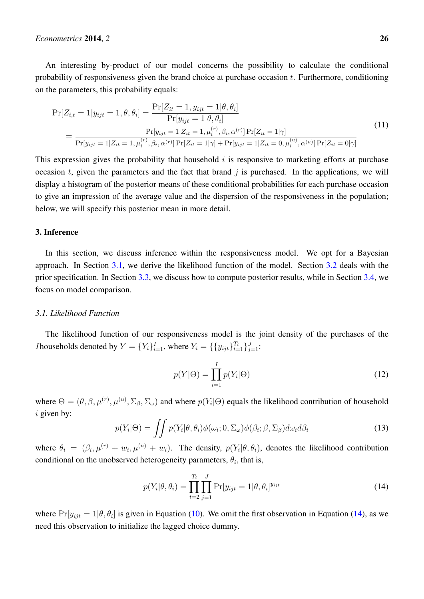An interesting by-product of our model concerns the possibility to calculate the conditional probability of responsiveness given the brand choice at purchase occasion  $t$ . Furthermore, conditioning on the parameters, this probability equals:

<span id="page-6-4"></span>
$$
Pr[Z_{i,t} = 1 | y_{ijt} = 1, \theta, \theta_i] = \frac{Pr[Z_{it} = 1, y_{ijt} = 1 | \theta, \theta_i]}{Pr[y_{ijt} = 1 | \theta, \theta_i]}
$$
  
= 
$$
\frac{Pr[y_{ijt} = 1 | Z_{it} = 1, \mu_i^{(r)}, \beta_i, \alpha^{(r)}] Pr[Z_{it} = 1 | \gamma]}{Pr[y_{ijt} = 1 | Z_{it} = 1, \mu_i^{(r)}, \beta_i, \alpha^{(r)}] Pr[Z_{it} = 1 | \gamma] + Pr[y_{ijt} = 1 | Z_{it} = 0, \mu_i^{(u)}, \alpha^{(u)}] Pr[Z_{it} = 0 | \gamma]}
$$
(11)

This expression gives the probability that household  $i$  is responsive to marketing efforts at purchase occasion t, given the parameters and the fact that brand  $j$  is purchased. In the applications, we will display a histogram of the posterior means of these conditional probabilities for each purchase occasion to give an impression of the average value and the dispersion of the responsiveness in the population; below, we will specify this posterior mean in more detail.

# <span id="page-6-0"></span>3. Inference

In this section, we discuss inference within the responsiveness model. We opt for a Bayesian approach. In Section [3.1,](#page-6-1) we derive the likelihood function of the model. Section [3.2](#page-7-0) deals with the prior specification. In Section [3.3,](#page-7-1) we discuss how to compute posterior results, while in Section [3.4,](#page-8-0) we focus on model comparison.

#### <span id="page-6-1"></span>*3.1. Likelihood Function*

The likelihood function of our responsiveness model is the joint density of the purchases of the *I* households denoted by  $Y = \{Y_i\}_{i=1}^I$ , where  $Y_i = \{\{y_{ijt}\}_{t=1}^{T_i}\}_{j=1}^J$ :

<span id="page-6-3"></span>
$$
p(Y|\Theta) = \prod_{i=1}^{I} p(Y_i|\Theta)
$$
\n(12)

where  $\Theta = (\theta, \beta, \mu^{(r)}, \mu^{(u)}, \Sigma_{\beta}, \Sigma_{\omega})$  and where  $p(Y_i|\Theta)$  equals the likelihood contribution of household  $i$  given by:

$$
p(Y_i|\Theta) = \iint p(Y_i|\theta, \theta_i) \phi(\omega_i; 0, \Sigma_{\omega}) \phi(\beta_i; \beta, \Sigma_{\beta}) d\omega_i d\beta_i
$$
 (13)

where  $\theta_i = (\beta_i, \mu^{(r)} + w_i, \mu^{(u)} + w_i)$ . The density,  $p(Y_i | \theta, \theta_i)$ , denotes the likelihood contribution conditional on the unobserved heterogeneity parameters,  $\theta_i$ , that is,

<span id="page-6-2"></span>
$$
p(Y_i|\theta, \theta_i) = \prod_{t=2}^{T_i} \prod_{j=1}^{J} \Pr[y_{ijt} = 1|\theta, \theta_i]^{y_{ijt}}
$$
(14)

where  $Pr[y_{ijt} = 1 | \theta, \theta_i]$  is given in Equation [\(10\)](#page-5-2). We omit the first observation in Equation [\(14\)](#page-6-2), as we need this observation to initialize the lagged choice dummy.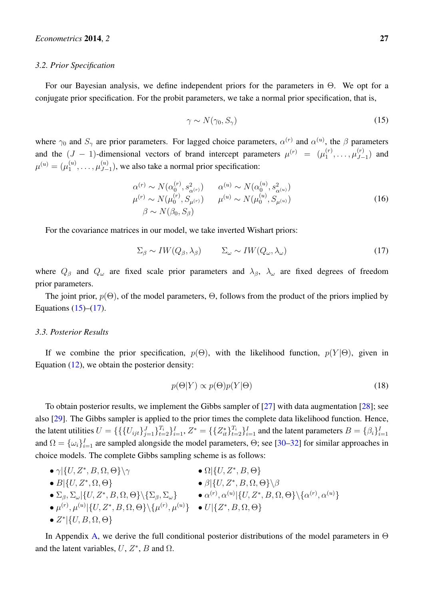#### <span id="page-7-0"></span>*3.2. Prior Specification*

For our Bayesian analysis, we define independent priors for the parameters in Θ. We opt for a conjugate prior specification. For the probit parameters, we take a normal prior specification, that is,

$$
\gamma \sim N(\gamma_0, S_\gamma) \tag{15}
$$

<span id="page-7-2"></span>where  $\gamma_0$  and  $S_\gamma$  are prior parameters. For lagged choice parameters,  $\alpha^{(r)}$  and  $\alpha^{(u)}$ , the  $\beta$  parameters and the  $(J - 1)$ -dimensional vectors of brand intercept parameters  $\mu^{(r)} = (\mu_1^{(r)})$  $\mu_{1}^{(r)}, \ldots, \mu_{J-}^{(r)}$  $\binom{(r)}{J-1}$  and  $\mu^{(u)}=(\mu_1^{(u)}$  $\overset{(u)}{1}, \ldots, \overset{(u)}{\mu^{(u)}_{J-}}$  $\binom{u}{J-1}$ , we also take a normal prior specification:

<span id="page-7-4"></span>
$$
\alpha^{(r)} \sim N(\alpha_0^{(r)}, s_{\alpha^{(r)}}^2) \qquad \alpha^{(u)} \sim N(\alpha_0^{(u)}, s_{\alpha^{(u)}}^2)
$$
\n
$$
\mu^{(r)} \sim N(\mu_0^{(r)}, S_{\mu^{(r)}}) \qquad \mu^{(u)} \sim N(\mu_0^{(u)}, S_{\mu^{(u)}})
$$
\n
$$
\beta \sim N(\beta_0, S_\beta)
$$
\n(16)

For the covariance matrices in our model, we take inverted Wishart priors:

<span id="page-7-3"></span>
$$
\Sigma_{\beta} \sim IW(Q_{\beta}, \lambda_{\beta}) \qquad \Sigma_{\omega} \sim IW(Q_{\omega}, \lambda_{\omega}) \qquad (17)
$$

where  $Q_{\beta}$  and  $Q_{\omega}$  are fixed scale prior parameters and  $\lambda_{\beta}$ ,  $\lambda_{\omega}$  are fixed degrees of freedom prior parameters.

The joint prior,  $p(\Theta)$ , of the model parameters,  $\Theta$ , follows from the product of the priors implied by Equations  $(15)$ – $(17)$ .

## <span id="page-7-1"></span>*3.3. Posterior Results*

If we combine the prior specification,  $p(\Theta)$ , with the likelihood function,  $p(Y|\Theta)$ , given in Equation  $(12)$ , we obtain the posterior density:

$$
p(\Theta|Y) \propto p(\Theta)p(Y|\Theta)
$$
\n(18)

To obtain posterior results, we implement the Gibbs sampler of [\[27\]](#page-23-15) with data augmentation [\[28\]](#page-23-16); see also [\[29\]](#page-23-17). The Gibbs sampler is applied to the prior times the complete data likelihood function. Hence, the latent utilities  $U = \{ \{ \{U_{ijt}\}_{j=1}^J\}_{t=2}^T \}_{i=1}^T$ ,  $Z^* = \{ \{Z^*_{it}\}_{t=2}^T \}_{i=1}^I$  and the latent parameters  $B = \{\beta_i\}_{i=1}^I$ and  $\Omega = {\{\omega_i\}}_{i=1}^I$  are sampled alongside the model parameters,  $\Theta$ ; see [\[30–](#page-23-18)[32\]](#page-24-0) for similar approaches in choice models. The complete Gibbs sampling scheme is as follows:

•  $\gamma$ | $\{U, Z^*, B, \Omega, \Theta\} \setminus \gamma$  •  $\Omega$ | $\{U, Z^*$  $\bullet$   $\Omega$  {*U*,  $Z^*$ ,  $B$ ,  $\Theta$ } •  $B|\{U, Z^*, \Omega, \Theta\}$  •  $\beta|\{U, Z^*, B, \Omega, \Theta\}\rangle$  $\bullet$   $\Sigma_\beta, \Sigma_\omega|\{U, Z^*, B, \Omega, \Theta\} \setminus \{\Sigma_\beta, \Sigma_\omega\}$   $\bullet$   $\alpha^{(r)}, \alpha^{(u)}|\{U, Z^*, B, \Omega, \Theta\} \setminus \{\alpha^{(r)}, \alpha^{(u)}\}$  $\bullet \mu^{(r)}, \mu^{(u)}|\{U, Z^*, B, \Omega, \Theta\} \setminus {\{\mu^{(r)}, \mu^{(u)}\}} \quad \bullet \text{ } U|\{Z^*, B, \Omega, \Theta\}$ •  $Z^* | \{U, B, \Omega, \Theta\}$ 

In Appendix [A,](#page-19-0) we derive the full conditional posterior distributions of the model parameters in  $\Theta$ and the latent variables,  $U, Z^*, B$  and  $\Omega$ .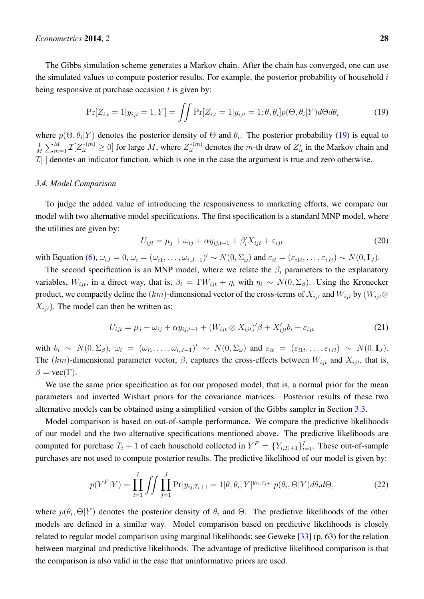The Gibbs simulation scheme generates a Markov chain. After the chain has converged, one can use the simulated values to compute posterior results. For example, the posterior probability of household  $i$ being responsive at purchase occasion  $t$  is given by:

<span id="page-8-1"></span>
$$
\Pr[Z_{i,t} = 1 | y_{ijt} = 1, Y] = \iint \Pr[Z_{i,t} = 1 | y_{ijt} = 1; \theta, \theta_i] p(\Theta, \theta_i | Y) d\Theta d\theta_i \tag{19}
$$

where  $p(\Theta, \theta_i | Y)$  denotes the posterior density of  $\Theta$  and  $\theta_i$ . The posterior probability [\(19\)](#page-8-1) is equal to 1  $\frac{1}{M}\sum_{m=1}^{M} \mathcal{I}[Z_{it}^{*(m)} \ge 0]$  for large M, where  $Z_{it}^{*(m)}$  denotes the m-th draw of  $Z_{it}^{*}$  in the Markov chain and  $\mathcal{I}[\cdot]$  denotes an indicator function, which is one in the case the argument is true and zero otherwise.

## <span id="page-8-0"></span>*3.4. Model Comparison*

To judge the added value of introducing the responsiveness to marketing efforts, we compare our model with two alternative model specifications. The first specification is a standard MNP model, where the utilities are given by:

<span id="page-8-3"></span>
$$
U_{ijt} = \mu_j + \omega_{ij} + \alpha y_{ij,t-1} + \beta'_i X_{ijt} + \varepsilon_{ijt}
$$
\n(20)

with Equation [\(6\)](#page-4-1),  $\omega_{iJ} = 0$ ,  $\omega_i = (\omega_{i1}, \dots, \omega_{i,J-1})' \sim N(0, \Sigma_{\omega})$  and  $\varepsilon_{it} = (\varepsilon_{i1t}, \dots, \varepsilon_{iJt}) \sim N(0, \mathbf{I}_J)$ .

The second specification is an MNP model, where we relate the  $\beta_i$  parameters to the explanatory variables,  $W_{ijt}$ , in a direct way, that is,  $\beta_i = \Gamma W_{ijt} + \eta_i$  with  $\eta_i \sim N(0, \Sigma_\beta)$ . Using the Kronecker product, we compactly define the  $(km)$ -dimensional vector of the cross-terms of  $X_{i}$  and  $W_{i}$  by  $(W_{i}$  $X_{ijt}$ ). The model can then be written as:

<span id="page-8-4"></span>
$$
U_{ijt} = \mu_j + \omega_{ij} + \alpha y_{ij,t-1} + (W_{ijt} \otimes X_{ijt})'\beta + X'_{ijt}b_i + \varepsilon_{ijt}
$$
\n(21)

with  $b_i \sim N(0, \Sigma_\beta)$ ,  $\omega_i = (\omega_{i1}, \dots, \omega_{i,J-1})' \sim N(0, \Sigma_\omega)$  and  $\varepsilon_{it} = (\varepsilon_{i1t}, \dots, \varepsilon_{iJt}) \sim N(0, \mathbf{I}_J)$ . The  $(km)$ -dimensional parameter vector,  $\beta$ , captures the cross-effects between  $W_{ijt}$  and  $X_{ijt}$ , that is,  $\beta = \text{vec}(\Gamma)$ .

We use the same prior specification as for our proposed model, that is, a normal prior for the mean parameters and inverted Wishart priors for the covariance matrices. Posterior results of these two alternative models can be obtained using a simplified version of the Gibbs sampler in Section [3.3.](#page-7-1)

Model comparison is based on out-of-sample performance. We compare the predictive likelihoods of our model and the two alternative specifications mentioned above. The predictive likelihoods are computed for purchase  $T_i + 1$  of each household collected in  $Y^F = \{Y_{i,T_i+1}\}_{i=1}^I$ . These out-of-sample purchases are not used to compute posterior results. The predictive likelihood of our model is given by:

<span id="page-8-2"></span>
$$
p(Y^F|Y) = \prod_{i=1}^{I} \iint \prod_{j=1}^{J} \Pr[y_{ij,T_i+1} = 1 | \theta, \theta_i, Y]^{y_{ij,T_i+1}} p(\theta_i, \Theta|Y) d\theta_i d\Theta,
$$
\n(22)

where  $p(\theta_i, \Theta|Y)$  denotes the posterior density of  $\theta_i$  and  $\Theta$ . The predictive likelihoods of the other models are defined in a similar way. Model comparison based on predictive likelihoods is closely related to regular model comparison using marginal likelihoods; see Geweke [\[33\]](#page-24-1) (p. 63) for the relation between marginal and predictive likelihoods. The advantage of predictive likelihood comparison is that the comparison is also valid in the case that uninformative priors are used.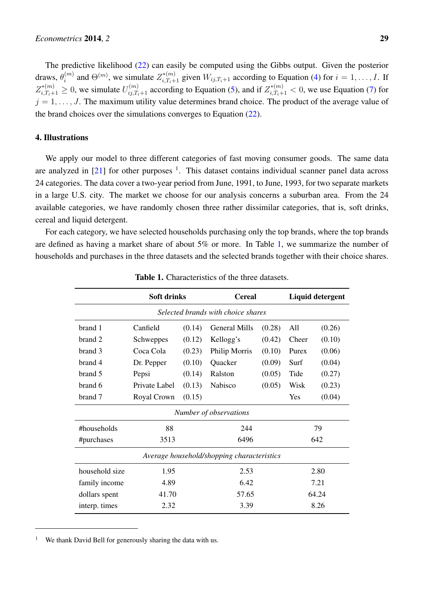The predictive likelihood [\(22\)](#page-8-2) can easily be computed using the Gibbs output. Given the posterior draws,  $\theta_i^{(m)}$  $i^{(m)}$  and  $\Theta^{(m)}$ , we simulate  $Z_{i,T_i+1}^{*(m)}$  given  $W_{ij,T_i+1}$  according to Equation [\(4\)](#page-3-1) for  $i = 1, \ldots, I$ . If  $Z_{i,T_i+1}^{*(m)} \ge 0$ , we simulate  $U_{ij,T_i+1}^{(m)}$  according to Equation [\(5\)](#page-4-2), and if  $Z_{i,T_i+1}^{*(m)} < 0$ , we use Equation [\(7\)](#page-4-0) for  $j = 1, \ldots, J$ . The maximum utility value determines brand choice. The product of the average value of the brand choices over the simulations converges to Equation [\(22\)](#page-8-2).

# <span id="page-9-0"></span>4. Illustrations

We apply our model to three different categories of fast moving consumer goods. The same data are analyzed in  $[21]$  for other purposes  $^1$ . This dataset contains individual scanner panel data across 24 categories. The data cover a two-year period from June, 1991, to June, 1993, for two separate markets in a large U.S. city. The market we choose for our analysis concerns a suburban area. From the 24 available categories, we have randomly chosen three rather dissimilar categories, that is, soft drinks, cereal and liquid detergent.

<span id="page-9-1"></span>For each category, we have selected households purchasing only the top brands, where the top brands are defined as having a market share of about 5% or more. In Table [1,](#page-9-1) we summarize the number of households and purchases in the three datasets and the selected brands together with their choice shares.

|                                            | <b>Soft drinks</b> |        | <b>Cereal</b>        |        | <b>Liquid detergent</b> |        |
|--------------------------------------------|--------------------|--------|----------------------|--------|-------------------------|--------|
| Selected brands with choice shares         |                    |        |                      |        |                         |        |
| brand 1                                    | Canfield           | (0.14) | <b>General Mills</b> | (0.28) | All                     | (0.26) |
| brand 2                                    | Schweppes          | (0.12) | Kellogg's            | (0.42) | Cheer                   | (0.10) |
| brand 3                                    | Coca Cola          | (0.23) | Philip Morris        | (0.10) | Purex                   | (0.06) |
| brand 4                                    | Dr. Pepper         | (0.10) | Quacker              | (0.09) | Surf                    | (0.04) |
| brand 5                                    | Pepsi              | (0.14) | Ralston              | (0.05) | Tide                    | (0.27) |
| brand 6                                    | Private Label      | (0.13) | Nabisco              | (0.05) | Wisk                    | (0.23) |
| brand 7                                    | Royal Crown        | (0.15) |                      |        | Yes                     | (0.04) |
| Number of observations                     |                    |        |                      |        |                         |        |
| #households                                | 88<br>244          |        |                      |        | 79                      |        |
| #purchases                                 | 3513               |        | 6496                 |        | 642                     |        |
| Average household/shopping characteristics |                    |        |                      |        |                         |        |
| household size                             | 1.95               |        | 2.53                 |        | 2.80                    |        |
| family income                              | 4.89               |        | 6.42                 |        | 7.21                    |        |
| dollars spent                              | 41.70              |        | 57.65                |        | 64.24                   |        |
| interp. times                              | 2.32               | 3.39   |                      |        | 8.26                    |        |

Table 1. Characteristics of the three datasets.

We thank David Bell for generously sharing the data with us.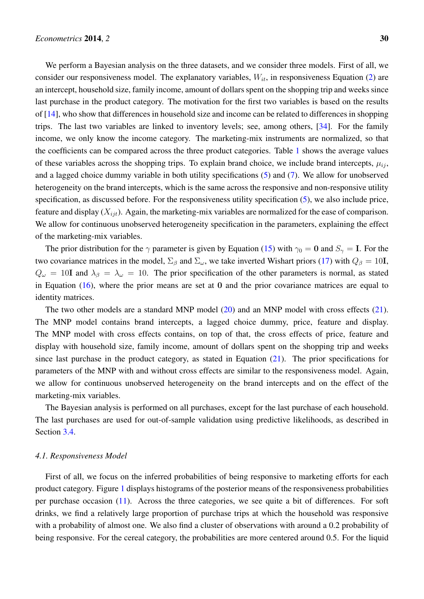We perform a Bayesian analysis on the three datasets, and we consider three models. First of all, we consider our responsiveness model. The explanatory variables,  $W_{it}$ , in responsiveness Equation [\(2\)](#page-3-2) are an intercept, household size, family income, amount of dollars spent on the shopping trip and weeks since last purchase in the product category. The motivation for the first two variables is based on the results of [\[14\]](#page-23-2), who show that differences in household size and income can be related to differences in shopping trips. The last two variables are linked to inventory levels; see, among others, [\[34\]](#page-24-2). For the family income, we only know the income category. The marketing-mix instruments are normalized, so that the coefficients can be compared across the three product categories. Table [1](#page-9-1) shows the average values of these variables across the shopping trips. To explain brand choice, we include brand intercepts,  $\mu_{ij}$ , and a lagged choice dummy variable in both utility specifications [\(5\)](#page-4-2) and [\(7\)](#page-4-0). We allow for unobserved heterogeneity on the brand intercepts, which is the same across the responsive and non-responsive utility specification, as discussed before. For the responsiveness utility specification [\(5\)](#page-4-2), we also include price, feature and display  $(X_{ijt})$ . Again, the marketing-mix variables are normalized for the ease of comparison. We allow for continuous unobserved heterogeneity specification in the parameters, explaining the effect of the marketing-mix variables.

The prior distribution for the  $\gamma$  parameter is given by Equation [\(15\)](#page-7-2) with  $\gamma_0 = 0$  and  $S_\gamma = I$ . For the two covariance matrices in the model,  $\Sigma_{\beta}$  and  $\Sigma_{\omega}$ , we take inverted Wishart priors [\(17\)](#page-7-3) with  $Q_{\beta} = 10$ **I**,  $Q_{\omega} = 10$ I and  $\lambda_{\beta} = \lambda_{\omega} = 10$ . The prior specification of the other parameters is normal, as stated in Equation  $(16)$ , where the prior means are set at 0 and the prior covariance matrices are equal to identity matrices.

The two other models are a standard MNP model [\(20\)](#page-8-3) and an MNP model with cross effects [\(21\)](#page-8-4). The MNP model contains brand intercepts, a lagged choice dummy, price, feature and display. The MNP model with cross effects contains, on top of that, the cross effects of price, feature and display with household size, family income, amount of dollars spent on the shopping trip and weeks since last purchase in the product category, as stated in Equation  $(21)$ . The prior specifications for parameters of the MNP with and without cross effects are similar to the responsiveness model. Again, we allow for continuous unobserved heterogeneity on the brand intercepts and on the effect of the marketing-mix variables.

The Bayesian analysis is performed on all purchases, except for the last purchase of each household. The last purchases are used for out-of-sample validation using predictive likelihoods, as described in Section [3.4.](#page-8-0)

## *4.1. Responsiveness Model*

First of all, we focus on the inferred probabilities of being responsive to marketing efforts for each product category. Figure [1](#page-11-0) displays histograms of the posterior means of the responsiveness probabilities per purchase occasion [\(11\)](#page-6-4). Across the three categories, we see quite a bit of differences. For soft drinks, we find a relatively large proportion of purchase trips at which the household was responsive with a probability of almost one. We also find a cluster of observations with around a 0.2 probability of being responsive. For the cereal category, the probabilities are more centered around 0.5. For the liquid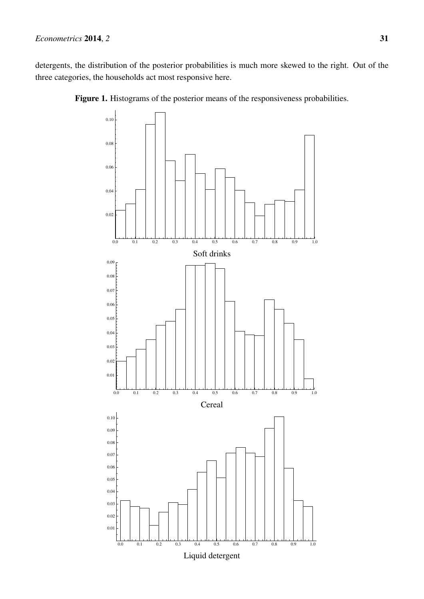<span id="page-11-0"></span>detergents, the distribution of the posterior probabilities is much more skewed to the right. Out of the three categories, the households act most responsive here.





Liquid detergent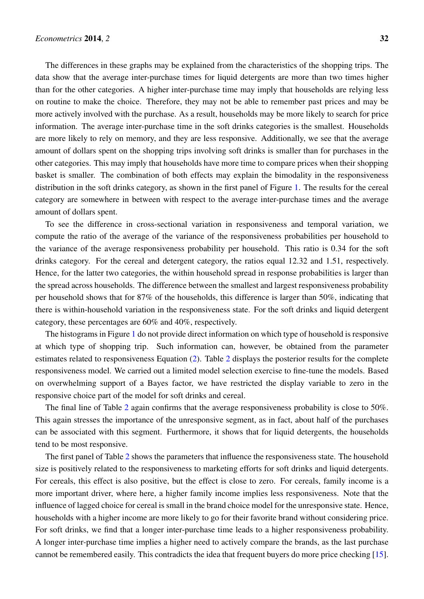The differences in these graphs may be explained from the characteristics of the shopping trips. The data show that the average inter-purchase times for liquid detergents are more than two times higher than for the other categories. A higher inter-purchase time may imply that households are relying less on routine to make the choice. Therefore, they may not be able to remember past prices and may be more actively involved with the purchase. As a result, households may be more likely to search for price information. The average inter-purchase time in the soft drinks categories is the smallest. Households are more likely to rely on memory, and they are less responsive. Additionally, we see that the average amount of dollars spent on the shopping trips involving soft drinks is smaller than for purchases in the other categories. This may imply that households have more time to compare prices when their shopping basket is smaller. The combination of both effects may explain the bimodality in the responsiveness distribution in the soft drinks category, as shown in the first panel of Figure [1.](#page-11-0) The results for the cereal category are somewhere in between with respect to the average inter-purchase times and the average amount of dollars spent.

To see the difference in cross-sectional variation in responsiveness and temporal variation, we compute the ratio of the average of the variance of the responsiveness probabilities per household to the variance of the average responsiveness probability per household. This ratio is 0.34 for the soft drinks category. For the cereal and detergent category, the ratios equal 12.32 and 1.51, respectively. Hence, for the latter two categories, the within household spread in response probabilities is larger than the spread across households. The difference between the smallest and largest responsiveness probability per household shows that for 87% of the households, this difference is larger than 50%, indicating that there is within-household variation in the responsiveness state. For the soft drinks and liquid detergent category, these percentages are 60% and 40%, respectively.

The histograms in Figure [1](#page-11-0) do not provide direct information on which type of household is responsive at which type of shopping trip. Such information can, however, be obtained from the parameter estimates related to responsiveness Equation [\(2\)](#page-3-2). Table [2](#page-13-0) displays the posterior results for the complete responsiveness model. We carried out a limited model selection exercise to fine-tune the models. Based on overwhelming support of a Bayes factor, we have restricted the display variable to zero in the responsive choice part of the model for soft drinks and cereal.

The final line of Table [2](#page-13-0) again confirms that the average responsiveness probability is close to 50%. This again stresses the importance of the unresponsive segment, as in fact, about half of the purchases can be associated with this segment. Furthermore, it shows that for liquid detergents, the households tend to be most responsive.

The first panel of Table [2](#page-13-0) shows the parameters that influence the responsiveness state. The household size is positively related to the responsiveness to marketing efforts for soft drinks and liquid detergents. For cereals, this effect is also positive, but the effect is close to zero. For cereals, family income is a more important driver, where here, a higher family income implies less responsiveness. Note that the influence of lagged choice for cereal is small in the brand choice model for the unresponsive state. Hence, households with a higher income are more likely to go for their favorite brand without considering price. For soft drinks, we find that a longer inter-purchase time leads to a higher responsiveness probability. A longer inter-purchase time implies a higher need to actively compare the brands, as the last purchase cannot be remembered easily. This contradicts the idea that frequent buyers do more price checking [\[15\]](#page-23-3).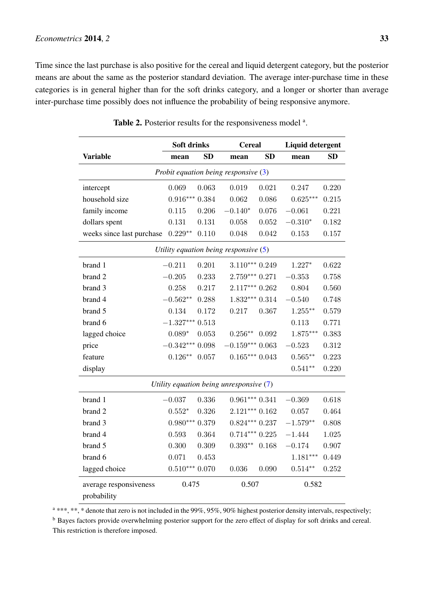# *Econometrics* 2014, 2 33

<span id="page-13-0"></span>Time since the last purchase is also positive for the cereal and liquid detergent category, but the posterior means are about the same as the posterior standard deviation. The average inter-purchase time in these categories is in general higher than for the soft drinks category, and a longer or shorter than average inter-purchase time possibly does not influence the probability of being responsive anymore.

|                           | <b>Soft drinks</b> |           | <b>Cereal</b>                             |           | <b>Liquid detergent</b> |           |
|---------------------------|--------------------|-----------|-------------------------------------------|-----------|-------------------------|-----------|
| <b>Variable</b>           | mean               | <b>SD</b> | mean                                      | <b>SD</b> | mean                    | <b>SD</b> |
|                           |                    |           | Probit equation being responsive $(3)$    |           |                         |           |
| intercept                 | 0.069              | 0.063     | 0.019                                     | 0.021     | 0.247                   | 0.220     |
| household size            | $0.916***$         | 0.384     | 0.062                                     | 0.086     | $0.625***$              | 0.215     |
| family income             | 0.115              | 0.206     | $-0.140*$                                 | 0.076     | $-0.061$                | 0.221     |
| dollars spent             | 0.131              | 0.131     | 0.058                                     | 0.052     | $-0.310*$               | 0.182     |
| weeks since last purchase | $0.229**$          | 0.110     | 0.048                                     | 0.042     | 0.153                   | 0.157     |
|                           |                    |           | Utility equation being responsive $(5)$   |           |                         |           |
| brand 1                   | $-0.211$           | 0.201     | $3.110***0.249$                           |           | $1.227*$                | 0.622     |
| brand 2                   | $-0.205$           | 0.233     | $2.759***$ 0.271                          |           | $-0.353$                | 0.758     |
| brand 3                   | 0.258              | 0.217     | $2.117***$ 0.262                          |           | 0.804                   | 0.560     |
| brand 4                   | $-0.562**$         | 0.288     | $1.832***0.314$                           |           | $-0.540$                | 0.748     |
| brand 5                   | $0.134\,$          | 0.172     | 0.217                                     | 0.367     | $1.255***$              | 0.579     |
| brand 6                   | $-1.327***$        | 0.513     |                                           |           | 0.113                   | 0.771     |
| lagged choice             | $0.089*$           | 0.053     | $0.256**$                                 | 0.092     | $1.875***$              | 0.383     |
| price                     | $-0.342***$        | 0.098     | $-0.159***0.063$                          |           | $-0.523$                | 0.312     |
| feature                   | $0.126**$          | 0.057     | $0.165***0.043$                           |           | $0.565**$               | 0.223     |
| display                   |                    |           |                                           |           | $0.541**$               | 0.220     |
|                           |                    |           | Utility equation being unresponsive $(7)$ |           |                         |           |
| brand 1                   | $-0.037$           | 0.336     | $0.961***0.341$                           |           | $-0.369$                | 0.618     |
| brand 2                   | $0.552*$           | 0.326     | $2.121***0.162$                           |           | 0.057                   | 0.464     |
| brand 3                   | $0.980***0.379$    |           | $0.824***0.237$                           |           | $-1.579**$              | 0.808     |
| brand 4                   | 0.593              | 0.364     | $0.714***$ $0.225$                        |           | $-1.444$                | 1.025     |
| brand 5                   | 0.300              | 0.309     | $0.393**$                                 | 0.168     | $-0.174$                | 0.907     |
| brand 6                   | 0.071              | 0.453     |                                           |           | $1.181***$              | 0.449     |
| lagged choice             | $0.510***$         | 0.070     | 0.036                                     | 0.090     | $0.514**$               | 0.252     |
| average responsiveness    | 0.475              |           | 0.507                                     |           | 0.582                   |           |
| probability               |                    |           |                                           |           |                         |           |

|  |  |  | Table 2. Posterior results for the responsiveness model <sup>a</sup> . |  |
|--|--|--|------------------------------------------------------------------------|--|
|--|--|--|------------------------------------------------------------------------|--|

<sup>a</sup> \*\*\*, \*\*, **\*** denote that zero is not included in the 99%, 95%, 90% highest posterior density intervals, respectively; <sup>b</sup> Bayes factors provide overwhelming posterior support for the zero effect of display for soft drinks and cereal. This restriction is therefore imposed.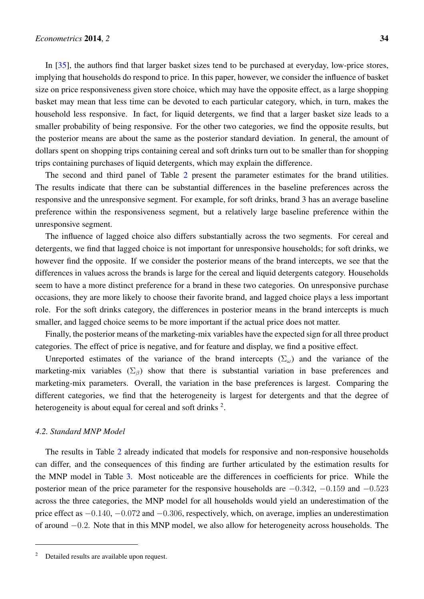In [\[35\]](#page-24-3), the authors find that larger basket sizes tend to be purchased at everyday, low-price stores, implying that households do respond to price. In this paper, however, we consider the influence of basket size on price responsiveness given store choice, which may have the opposite effect, as a large shopping basket may mean that less time can be devoted to each particular category, which, in turn, makes the household less responsive. In fact, for liquid detergents, we find that a larger basket size leads to a smaller probability of being responsive. For the other two categories, we find the opposite results, but the posterior means are about the same as the posterior standard deviation. In general, the amount of dollars spent on shopping trips containing cereal and soft drinks turn out to be smaller than for shopping trips containing purchases of liquid detergents, which may explain the difference.

The second and third panel of Table [2](#page-13-0) present the parameter estimates for the brand utilities. The results indicate that there can be substantial differences in the baseline preferences across the responsive and the unresponsive segment. For example, for soft drinks, brand 3 has an average baseline preference within the responsiveness segment, but a relatively large baseline preference within the unresponsive segment.

The influence of lagged choice also differs substantially across the two segments. For cereal and detergents, we find that lagged choice is not important for unresponsive households; for soft drinks, we however find the opposite. If we consider the posterior means of the brand intercepts, we see that the differences in values across the brands is large for the cereal and liquid detergents category. Households seem to have a more distinct preference for a brand in these two categories. On unresponsive purchase occasions, they are more likely to choose their favorite brand, and lagged choice plays a less important role. For the soft drinks category, the differences in posterior means in the brand intercepts is much smaller, and lagged choice seems to be more important if the actual price does not matter.

Finally, the posterior means of the marketing-mix variables have the expected sign for all three product categories. The effect of price is negative, and for feature and display, we find a positive effect.

Unreported estimates of the variance of the brand intercepts  $(\Sigma_{\omega})$  and the variance of the marketing-mix variables ( $\Sigma_{\beta}$ ) show that there is substantial variation in base preferences and marketing-mix parameters. Overall, the variation in the base preferences is largest. Comparing the different categories, we find that the heterogeneity is largest for detergents and that the degree of heterogeneity is about equal for cereal and soft drinks  $2$ .

## *4.2. Standard MNP Model*

The results in Table [2](#page-13-0) already indicated that models for responsive and non-responsive households can differ, and the consequences of this finding are further articulated by the estimation results for the MNP model in Table [3.](#page-15-0) Most noticeable are the differences in coefficients for price. While the posterior mean of the price parameter for the responsive households are  $-0.342$ ,  $-0.159$  and  $-0.523$ across the three categories, the MNP model for all households would yield an underestimation of the price effect as −0.140, −0.072 and −0.306, respectively, which, on average, implies an underestimation of around −0.2. Note that in this MNP model, we also allow for heterogeneity across households. The

<sup>2</sup> Detailed results are available upon request.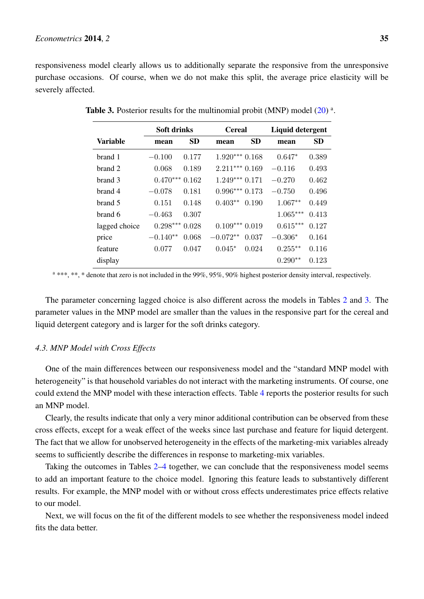<span id="page-15-0"></span>responsiveness model clearly allows us to additionally separate the responsive from the unresponsive purchase occasions. Of course, when we do not make this split, the average price elasticity will be severely affected.

|                 | Soft drinks |           | <b>Cereal</b>   |           | Liquid detergent |           |
|-----------------|-------------|-----------|-----------------|-----------|------------------|-----------|
| <b>Variable</b> | mean        | <b>SD</b> | mean            | <b>SD</b> | mean             | <b>SD</b> |
| brand 1         | $-0.100$    | 0.177     | $1.920***0.168$ |           | $0.647*$         | 0.389     |
| brand 2         | 0.068       | 0.189     | $2.211***$      | 0.169     | $-0.116$         | 0.493     |
| brand 3         | $0.470***$  | 0.162     | $1.249***$      | 0.171     | $-0.270$         | 0.462     |
| brand 4         | $-0.078$    | 0.181     | $0.996***$      | 0.173     | $-0.750$         | 0.496     |
| brand 5         | 0.151       | 0.148     | $0.403**$       | 0.190     | $1.067**$        | 0.449     |
| brand 6         | $-0.463$    | 0.307     |                 |           | $1.065***$       | 0.413     |
| lagged choice   | $0.298***$  | 0.028     | $0.109***$      | 0.019     | $0.615***$       | 0.127     |
| price           | $-0.140**$  | 0.068     | $-0.072**$      | 0.037     | $-0.306*$        | 0.164     |
| feature         | 0.077       | 0.047     | $0.045*$        | 0.024     | $0.255***$       | 0.116     |
| display         |             |           |                 |           | $0.290**$        | 0.123     |

Table 3. Posterior results for the multinomial probit (MNP) model  $(20)$ <sup>a</sup>.

<sup>a</sup> \*\*\*, \*\*, \* denote that zero is not included in the 99%, 95%, 90% highest posterior density interval, respectively.

The parameter concerning lagged choice is also different across the models in Tables [2](#page-13-0) and [3.](#page-15-0) The parameter values in the MNP model are smaller than the values in the responsive part for the cereal and liquid detergent category and is larger for the soft drinks category.

# *4.3. MNP Model with Cross Effects*

One of the main differences between our responsiveness model and the "standard MNP model with heterogeneity" is that household variables do not interact with the marketing instruments. Of course, one could extend the MNP model with these interaction effects. Table [4](#page-16-0) reports the posterior results for such an MNP model.

Clearly, the results indicate that only a very minor additional contribution can be observed from these cross effects, except for a weak effect of the weeks since last purchase and feature for liquid detergent. The fact that we allow for unobserved heterogeneity in the effects of the marketing-mix variables already seems to sufficiently describe the differences in response to marketing-mix variables.

Taking the outcomes in Tables [2–](#page-13-0)[4](#page-16-0) together, we can conclude that the responsiveness model seems to add an important feature to the choice model. Ignoring this feature leads to substantively different results. For example, the MNP model with or without cross effects underestimates price effects relative to our model.

Next, we will focus on the fit of the different models to see whether the responsiveness model indeed fits the data better.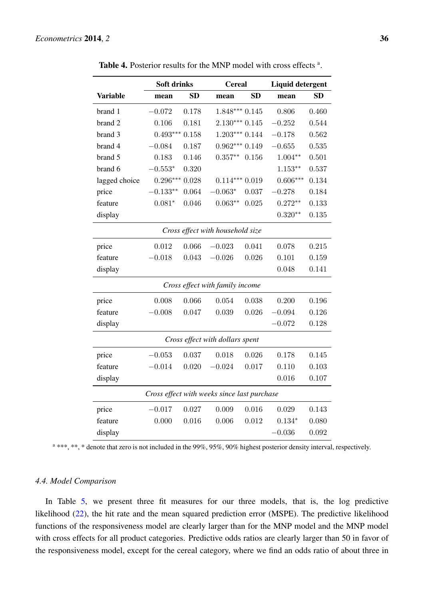<span id="page-16-0"></span>

|                 | <b>Soft drinks</b> |           |                                             | <b>Cereal</b> |            | <b>Liquid detergent</b> |  |
|-----------------|--------------------|-----------|---------------------------------------------|---------------|------------|-------------------------|--|
| <b>Variable</b> | mean               | <b>SD</b> | mean                                        | <b>SD</b>     | mean       | <b>SD</b>               |  |
| brand 1         | $-0.072$           | 0.178     | $1.848***$ 0.145                            |               | 0.806      | 0.460                   |  |
| brand 2         | 0.106              | 0.181     | $2.130***0.145$                             |               | $-0.252$   | 0.544                   |  |
| brand 3         | $0.493***$         | $0.158\,$ | $1.203***$                                  | 0.144         | $-0.178$   | 0.562                   |  |
| brand 4         | $-0.084$           | 0.187     | $0.962***$                                  | 0.149         | $-0.655$   | 0.535                   |  |
| brand 5         | 0.183              | 0.146     | $0.357**$                                   | 0.156         | $1.004**$  | 0.501                   |  |
| brand 6         | $-0.553*$          | 0.320     |                                             |               | $1.153**$  | 0.537                   |  |
| lagged choice   | $0.296***$         | 0.028     | $0.114***$                                  | 0.019         | $0.606***$ | 0.134                   |  |
| price           | $-0.133**$         | 0.064     | $-0.063*$                                   | 0.037         | $-0.278$   | 0.184                   |  |
| feature         | $0.081*$           | 0.046     | $0.063**$                                   | 0.025         | $0.272**$  | 0.133                   |  |
| display         |                    |           |                                             |               | $0.320**$  | 0.135                   |  |
|                 |                    |           | Cross effect with household size            |               |            |                         |  |
| price           | 0.012              | 0.066     | $-0.023$                                    | 0.041         | 0.078      | 0.215                   |  |
| feature         | $-0.018$           | 0.043     | $-0.026$                                    | 0.026         | 0.101      | 0.159                   |  |
| display         |                    |           |                                             |               | 0.048      | 0.141                   |  |
|                 |                    |           | Cross effect with family income             |               |            |                         |  |
| price           | 0.008              | 0.066     | 0.054                                       | 0.038         | 0.200      | 0.196                   |  |
| feature         | $-0.008$           | 0.047     | 0.039                                       | 0.026         | $-0.094$   | 0.126                   |  |
| display         |                    |           |                                             |               | $-0.072$   | 0.128                   |  |
|                 |                    |           | Cross effect with dollars spent             |               |            |                         |  |
| price           | $-0.053$           | 0.037     | 0.018                                       | 0.026         | 0.178      | 0.145                   |  |
| feature         | $-0.014$           | 0.020     | $-0.024$                                    | 0.017         | 0.110      | 0.103                   |  |
| display         |                    |           |                                             |               | 0.016      | 0.107                   |  |
|                 |                    |           | Cross effect with weeks since last purchase |               |            |                         |  |
| price           | $-0.017$           | 0.027     | 0.009                                       | 0.016         | 0.029      | 0.143                   |  |
| feature         | 0.000              | 0.016     | 0.006                                       | 0.012         | $0.134*$   | 0.080                   |  |
| display         |                    |           |                                             |               | $-0.036$   | 0.092                   |  |

Table 4. Posterior results for the MNP model with cross effects<sup>a</sup>.

<sup>a</sup> \*\*\*, \*\*, \* denote that zero is not included in the 99%, 95%, 90% highest posterior density interval, respectively.

## *4.4. Model Comparison*

In Table [5,](#page-17-1) we present three fit measures for our three models, that is, the log predictive likelihood [\(22\)](#page-8-2), the hit rate and the mean squared prediction error (MSPE). The predictive likelihood functions of the responsiveness model are clearly larger than for the MNP model and the MNP model with cross effects for all product categories. Predictive odds ratios are clearly larger than 50 in favor of the responsiveness model, except for the cereal category, where we find an odds ratio of about three in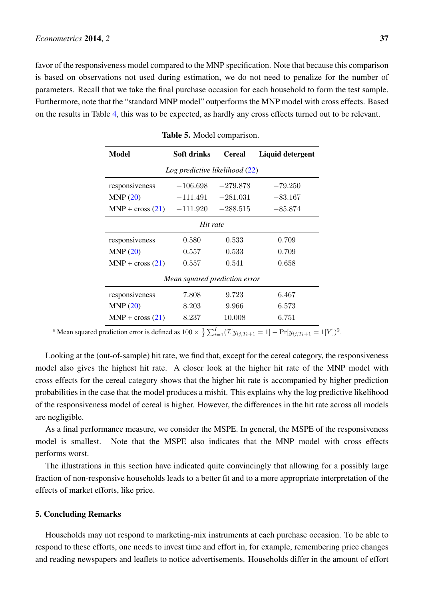<span id="page-17-1"></span>favor of the responsiveness model compared to the MNP specification. Note that because this comparison is based on observations not used during estimation, we do not need to penalize for the number of parameters. Recall that we take the final purchase occasion for each household to form the test sample. Furthermore, note that the "standard MNP model" outperforms the MNP model with cross effects. Based on the results in Table [4,](#page-16-0) this was to be expected, as hardly any cross effects turned out to be relevant.

| Model                          | Soft drinks | <b>Cereal</b> | Liquid detergent |  |  |  |
|--------------------------------|-------------|---------------|------------------|--|--|--|
| Log predictive likelihood (22) |             |               |                  |  |  |  |
| responsiveness                 | $-106.698$  | $-279.878$    | $-79.250$        |  |  |  |
| MNP(20)                        | $-111.491$  | $-281.031$    | $-83.167$        |  |  |  |
| $MNP + cross (21)$             | $-111.920$  | $-288.515$    | $-85.874$        |  |  |  |
| Hit rate                       |             |               |                  |  |  |  |
| responsiveness                 | 0.580       | 0.533         | 0.709            |  |  |  |
| MNP(20)                        | 0.557       | 0.533         | 0.709            |  |  |  |
| $MNP + cross (21)$             | 0.557       | 0.541         | 0.658            |  |  |  |
| Mean squared prediction error  |             |               |                  |  |  |  |
| responsiveness                 | 7.808       | 9.723         | 6.467            |  |  |  |
| MNP(20)                        | 8.203       | 9.966         | 6.573            |  |  |  |
| $MNP + cross (21)$             | 8.237       | 10.008        | 6.751            |  |  |  |

Table 5. Model comparison.

<sup>a</sup> Mean squared prediction error is defined as  $100 \times \frac{1}{I} \sum_{i=1}^{I} (\mathcal{I}[y_{ij,T_i+1} = 1] - \Pr[y_{ij,T_i+1} = 1|Y])^2$ .

Looking at the (out-of-sample) hit rate, we find that, except for the cereal category, the responsiveness model also gives the highest hit rate. A closer look at the higher hit rate of the MNP model with cross effects for the cereal category shows that the higher hit rate is accompanied by higher prediction probabilities in the case that the model produces a mishit. This explains why the log predictive likelihood of the responsiveness model of cereal is higher. However, the differences in the hit rate across all models are negligible.

As a final performance measure, we consider the MSPE. In general, the MSPE of the responsiveness model is smallest. Note that the MSPE also indicates that the MNP model with cross effects performs worst.

The illustrations in this section have indicated quite convincingly that allowing for a possibly large fraction of non-responsive households leads to a better fit and to a more appropriate interpretation of the effects of market efforts, like price.

# <span id="page-17-0"></span>5. Concluding Remarks

Households may not respond to marketing-mix instruments at each purchase occasion. To be able to respond to these efforts, one needs to invest time and effort in, for example, remembering price changes and reading newspapers and leaflets to notice advertisements. Households differ in the amount of effort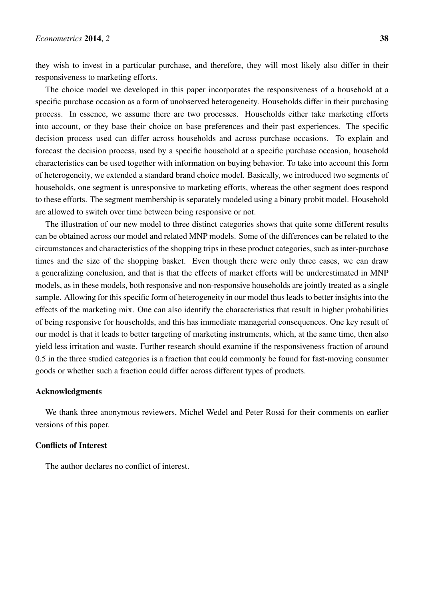they wish to invest in a particular purchase, and therefore, they will most likely also differ in their responsiveness to marketing efforts.

The choice model we developed in this paper incorporates the responsiveness of a household at a specific purchase occasion as a form of unobserved heterogeneity. Households differ in their purchasing process. In essence, we assume there are two processes. Households either take marketing efforts into account, or they base their choice on base preferences and their past experiences. The specific decision process used can differ across households and across purchase occasions. To explain and forecast the decision process, used by a specific household at a specific purchase occasion, household characteristics can be used together with information on buying behavior. To take into account this form of heterogeneity, we extended a standard brand choice model. Basically, we introduced two segments of households, one segment is unresponsive to marketing efforts, whereas the other segment does respond to these efforts. The segment membership is separately modeled using a binary probit model. Household are allowed to switch over time between being responsive or not.

The illustration of our new model to three distinct categories shows that quite some different results can be obtained across our model and related MNP models. Some of the differences can be related to the circumstances and characteristics of the shopping trips in these product categories, such as inter-purchase times and the size of the shopping basket. Even though there were only three cases, we can draw a generalizing conclusion, and that is that the effects of market efforts will be underestimated in MNP models, as in these models, both responsive and non-responsive households are jointly treated as a single sample. Allowing for this specific form of heterogeneity in our model thus leads to better insights into the effects of the marketing mix. One can also identify the characteristics that result in higher probabilities of being responsive for households, and this has immediate managerial consequences. One key result of our model is that it leads to better targeting of marketing instruments, which, at the same time, then also yield less irritation and waste. Further research should examine if the responsiveness fraction of around 0.5 in the three studied categories is a fraction that could commonly be found for fast-moving consumer goods or whether such a fraction could differ across different types of products.

## Acknowledgments

We thank three anonymous reviewers, Michel Wedel and Peter Rossi for their comments on earlier versions of this paper.

# Conflicts of Interest

The author declares no conflict of interest.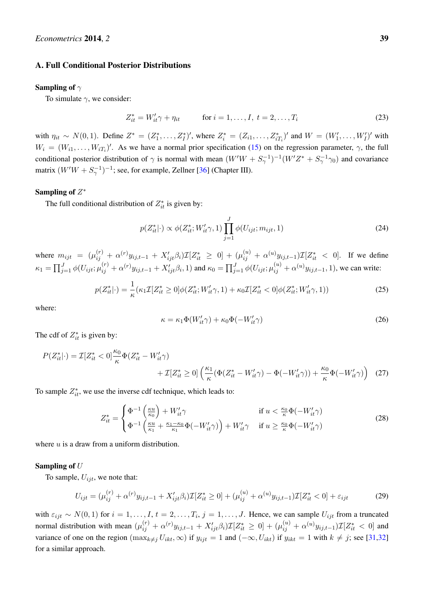#### <span id="page-19-0"></span>A. Full Conditional Posterior Distributions

#### Sampling of  $\gamma$

To simulate  $\gamma$ , we consider:

$$
Z_{it}^* = W_{it}' \gamma + \eta_{it} \qquad \text{for } i = 1, ..., I, \ t = 2, ..., T_i
$$
 (23)

with  $\eta_{it} \sim N(0, 1)$ . Define  $Z^* = (Z_1^*, \ldots, Z_I^*)'$ , where  $Z_i^* = (Z_{i1}, \ldots, Z_{iT_i}^*)'$  and  $W = (W_1', \ldots, W_I')'$  with  $W_i = (W_{i1}, \ldots, W_{iT_i})'$ . As we have a normal prior specification [\(15\)](#page-7-2) on the regression parameter,  $\gamma$ , the full conditional posterior distribution of  $\gamma$  is normal with mean  $(W'W + S_{\gamma}^{-1})^{-1}(W'Z^* + S_{\gamma}^{-1}\gamma_0)$  and covariance matrix  $(W'W + S_{\gamma}^{-1})^{-1}$ ; see, for example, Zellner [\[36\]](#page-24-4) (Chapter III).

# Sampling of  $Z^*$

The full conditional distribution of  $Z_{it}^*$  is given by:

$$
p(Z_{it}^*|\cdot) \propto \phi(Z_{it}^*; W_{it}'\gamma, 1) \prod_{j=1}^J \phi(U_{ijt}; m_{ijt}, 1)
$$
\n(24)

where  $m_{ijt} = (\mu_{ij}^{(r)} + \alpha^{(r)}y_{ij,t-1} + X_{ijt}'\beta_i)\mathcal{I}[Z_{it}^* \ge 0] + (\mu_{ij}^{(u)} + \alpha^{(u)}y_{ij,t-1})\mathcal{I}[Z_{it}^* < 0].$  If we define  $\kappa_1 = \prod_{j=1}^J \phi(U_{ijt}; \mu_{ij}^{(r)} + \alpha^{(r)}y_{ij,t-1} + X_{ijt}'\beta_i, 1)$  and  $\kappa_0 = \prod_{j=1}^J \phi(U_{ijt}; \mu_{ij}^{(u)} + \alpha^{(u)}y_{ij,t-1}, 1)$ , we can write:

$$
p(Z_{it}^*|\cdot) = \frac{1}{\kappa} (\kappa_1 \mathcal{I}[Z_{it}^* \ge 0] \phi(Z_{it}^*; W_{it}' \gamma, 1) + \kappa_0 \mathcal{I}[Z_{it}^* < 0] \phi(Z_{it}^*; W_{it}' \gamma, 1))
$$
(25)

where:

$$
\kappa = \kappa_1 \Phi(W_{it}' \gamma) + \kappa_0 \Phi(-W_{it}' \gamma)
$$
\n(26)

The cdf of  $Z_{it}^*$  is given by:

$$
P(Z_{it}^*|\cdot) = \mathcal{I}[Z_{it}^* < 0] \frac{\kappa_0}{\kappa} \Phi(Z_{it}^* - W_{it}'\gamma) + \mathcal{I}[Z_{it}^* \ge 0] \left(\frac{\kappa_1}{\kappa} (\Phi(Z_{it}^* - W_{it}'\gamma) - \Phi(-W_{it}'\gamma)) + \frac{\kappa_0}{\kappa} \Phi(-W_{it}'\gamma)\right) \tag{27}
$$

To sample  $Z_{it}^*$ , we use the inverse cdf technique, which leads to:

$$
Z_{it}^{*} = \begin{cases} \Phi^{-1}\left(\frac{\kappa u}{\kappa_0}\right) + W_{it}'\gamma & \text{if } u < \frac{\kappa_0}{\kappa} \Phi(-W_{it}'\gamma) \\ \Phi^{-1}\left(\frac{\kappa u}{\kappa_1} + \frac{\kappa_1 - \kappa_0}{\kappa_1} \Phi(-W_{it}'\gamma)\right) + W_{it}'\gamma & \text{if } u \ge \frac{\kappa_0}{\kappa} \Phi(-W_{it}'\gamma) \end{cases}
$$
(28)

where  $u$  is a draw from a uniform distribution.

#### Sampling of U

To sample,  $U_{ijt}$ , we note that:

$$
U_{ijt} = (\mu_{ij}^{(r)} + \alpha^{(r)} y_{ij,t-1} + X_{ijt}'\beta_i) \mathcal{I}[Z_{it}^* \ge 0] + (\mu_{ij}^{(u)} + \alpha^{(u)} y_{ij,t-1}) \mathcal{I}[Z_{it}^* < 0] + \varepsilon_{ijt}
$$
(29)

with  $\varepsilon_{ijt} \sim N(0,1)$  for  $i = 1,\ldots, I$ ,  $t = 2,\ldots,T_i$ ,  $j = 1,\ldots,J$ . Hence, we can sample  $U_{ijt}$  from a truncated normal distribution with mean  $(\mu_{ij}^{(r)} + \alpha^{(r)}y_{ij,t-1} + X_{ijt}'\beta_i)\mathcal{I}[Z_{it}^* \geq 0] + (\mu_{ij}^{(u)} + \alpha^{(u)}y_{ij,t-1})\mathcal{I}[Z_{it}^* < 0]$  and variance of one on the region  $(\max_{k\neq j} U_{ikt}, \infty)$  if  $y_{ijt} = 1$  and  $(-\infty, U_{ikt})$  if  $y_{ikt} = 1$  with  $k \neq j$ ; see [\[31](#page-23-19)[,32\]](#page-24-0) for a similar approach.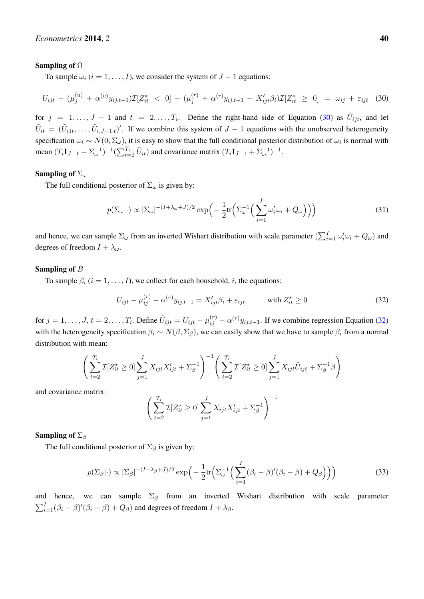#### Sampling of Ω

To sample  $\omega_i$  ( $i = 1, \ldots, I$ ), we consider the system of  $J - 1$  equations:

$$
U_{ijt} - (\mu_j^{(u)} + \alpha^{(u)} y_{ij,t-1}) \mathcal{I}[Z_{it}^* < 0] - (\mu_j^{(r)} + \alpha^{(r)} y_{ij,t-1} + X_{ijt}' \beta_i) \mathcal{I}[Z_{it}^* \ge 0] = \omega_{ij} + \varepsilon_{ijt} \quad (30)
$$

for  $j = 1, \ldots, J - 1$  and  $t = 2, \ldots, T_i$ . Define the right-hand side of Equation [\(30\)](#page-20-0) as  $\tilde{U}_{ijt}$ , and let  $\tilde{U}_{it} = (\tilde{U}_{i1t}, \ldots, \tilde{U}_{i,J-1,t})'$ . If we combine this system of  $J-1$  equations with the unobserved heterogeneity specification  $\omega_i \sim N(0, \Sigma_\omega)$ , it is easy to show that the full conditional posterior distribution of  $\omega_i$  is normal with mean  $(T_i \mathbf{I}_{J-1} + \Sigma_{\omega}^{-1})^{-1} (\sum_{t=2}^{T_i} \tilde{U}_{it})$  and covariance matrix  $(T_i \mathbf{I}_{J-1} + \Sigma_{\omega}^{-1})^{-1}$ .

#### Sampling of  $\Sigma_{\omega}$

The full conditional posterior of  $\Sigma_{\omega}$  is given by:

<span id="page-20-0"></span>
$$
p(\Sigma_{\omega}|\cdot) \propto |\Sigma_{\omega}|^{-(I+\lambda_{\omega}+J)/2} \exp\left(-\frac{1}{2}\text{tr}\left(\Sigma_{\omega}^{-1}\left(\sum_{i=1}^{I} \omega_i' \omega_i + Q_{\omega}\right)\right)\right) \tag{31}
$$

and hence, we can sample  $\Sigma_{\omega}$  from an inverted Wishart distribution with scale parameter  $(\sum_{i=1}^{I}\omega_i'\omega_i + Q_{\omega})$  and degrees of freedom  $I + \lambda_{\omega}$ .

### Sampling of B

To sample  $\beta_i$  ( $i = 1, \ldots, I$ ), we collect for each household, i, the equations:

<span id="page-20-1"></span>
$$
U_{ijt} - \mu_{ij}^{(r)} - \alpha^{(r)} y_{ij,t-1} = X'_{ijt} \beta_i + \varepsilon_{ijt} \qquad \text{with } Z^*_{it} \ge 0 \tag{32}
$$

for  $j = 1, \ldots, J, t = 2, \ldots, T_i$ . Define  $\tilde{U}_{ijt} = U_{ijt} - \mu_{ij}^{(r)} - \alpha^{(r)} y_{ij,t-1}$ . If we combine regression Equation [\(32\)](#page-20-1) with the heterogeneity specification  $\beta_i \sim N(\beta, \Sigma_\beta)$ , we can easily show that we have to sample  $\beta_i$  from a normal distribution with mean:

$$
\left(\sum_{t=2}^{T_i} \mathcal{I}[Z_{it}^* \ge 0] \sum_{j=1}^J X_{ijt} X_{ijt}' + \Sigma_{\beta}^{-1}\right)^{-1} \left(\sum_{t=2}^{T_i} \mathcal{I}[Z_{it}^* \ge 0] \sum_{j=1}^J X_{ijt} \tilde{U}_{ijt} + \Sigma_{\beta}^{-1} \beta\right)
$$

and covariance matrix:

$$
\left(\sum_{t=2}^{T_i} \mathcal{I}[Z_{it}^* \ge 0] \sum_{j=1}^{J} X_{ijt} X'_{ijt} + \Sigma_{\beta}^{-1}\right)^{-1}
$$

#### Sampling of  $\Sigma$ <sub>β</sub>

The full conditional posterior of  $\Sigma_{\beta}$  is given by:

$$
p(\Sigma_{\beta}|\cdot) \propto |\Sigma_{\beta}|^{-(I+\lambda_{\beta}+J)/2} \exp\left(-\frac{1}{2}\text{tr}\left(\Sigma_{\omega}^{-1}\left(\sum_{i=1}^{I}(\beta_{i}-\beta)'(\beta_{i}-\beta)+Q_{\beta}\right)\right)\right) \tag{33}
$$

and hence, we can sample  $\Sigma_{\beta}$  from an inverted Wishart distribution with scale parameter  $\sum_{i=1}^{I}(\beta_i - \beta)'(\beta_i - \beta) + Q_{\beta}$  and degrees of freedom  $I + \lambda_{\beta}$ .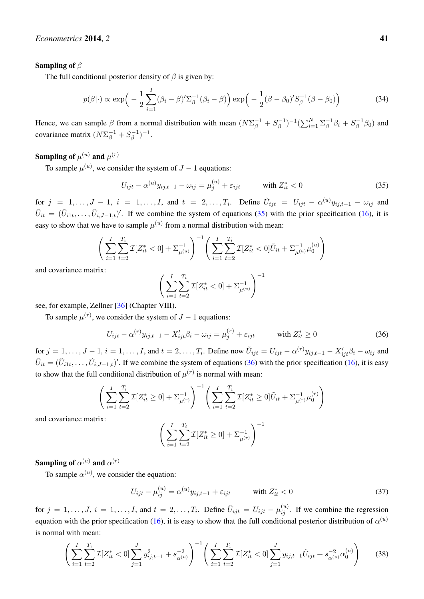### Sampling of  $\beta$

The full conditional posterior density of  $\beta$  is given by:

$$
p(\beta|\cdot) \propto \exp\left(-\frac{1}{2}\sum_{i=1}^{I}(\beta_i-\beta)'\Sigma_{\beta}^{-1}(\beta_i-\beta)\right)\exp\left(-\frac{1}{2}(\beta-\beta_0)'\overline{S_{\beta}^{-1}}(\beta-\beta_0)\right) \tag{34}
$$

Hence, we can sample  $\beta$  from a normal distribution with mean  $(N\Sigma_{\beta}^{-1} + S_{\beta}^{-1})$  $(\sum_{i=1}^{N} \Sigma_{\beta}^{-1})$  $S_{\beta}^{-1}\beta_i + S_{\beta}^{-1}$  $\int_{\beta}^{-1}\beta_0)$  and covariance matrix  $(N\Sigma_\beta^{-1} + S_\beta^{-1})$  $\binom{-1}{\beta}$ <sup>-1</sup>.

# Sampling of  $\mu^{(u)}$  and  $\mu^{(r)}$

To sample  $\mu^{(u)}$ , we consider the system of  $J-1$  equations:

<span id="page-21-0"></span>
$$
U_{ijt} - \alpha^{(u)} y_{ij,t-1} - \omega_{ij} = \mu_j^{(u)} + \varepsilon_{ijt} \qquad \text{with } Z_{it}^* < 0 \tag{35}
$$

for  $j = 1, \ldots, J-1$ ,  $i = 1, \ldots, I$ , and  $t = 2, \ldots, T_i$ . Define  $\tilde{U}_{ijt} = U_{ijt} - \alpha^{(u)}y_{ij,t-1} - \omega_{ij}$  and  $\tilde{U}_{it} = (\tilde{U}_{i1t},\ldots,\tilde{U}_{i,J-1,t})'$ . If we combine the system of equations [\(35\)](#page-21-0) with the prior specification [\(16\)](#page-7-4), it is easy to show that we have to sample  $\mu^{(u)}$  from a normal distribution with mean:

$$
\left(\sum_{i=1}^{I} \sum_{t=2}^{T_i} \mathcal{I}[Z_{it}^* < 0] + \Sigma_{\mu^{(u)}}^{-1}\right)^{-1} \left(\sum_{i=1}^{I} \sum_{t=2}^{T_i} \mathcal{I}[Z_{it}^* < 0]\tilde{U}_{it} + \Sigma_{\mu^{(u)}}^{-1}\mu_0^{(u)}\right)
$$

and covariance matrix:

$$
\left(\sum_{i=1}^{I}\sum_{t=2}^{T_i} \mathcal{I}[Z_{it}^* < 0] + \Sigma_{\mu^{(u)}}^{-1}\right)^{-1}
$$

see, for example, Zellner [\[36\]](#page-24-4) (Chapter VIII).

To sample  $\mu^{(r)}$ , we consider the system of  $J-1$  equations:

<span id="page-21-1"></span>
$$
U_{ijt} - \alpha^{(r)} y_{ij,t-1} - X'_{ijt} \beta_i - \omega_{ij} = \mu_j^{(r)} + \varepsilon_{ijt} \qquad \text{with } Z_{it}^* \ge 0 \tag{36}
$$

for  $j = 1, \ldots, J-1$ ,  $i = 1, \ldots, I$ , and  $t = 2, \ldots, T_i$ . Define now  $\tilde{U}_{ijt} = U_{ijt} - \alpha^{(r)} y_{ij,t-1} - X'_{ijt} \beta_i - \omega_{ij}$  and  $\tilde{U}_{it} = (\tilde{U}_{i1t}, \ldots, \tilde{U}_{i,J-1,t})'$ . If we combine the system of equations [\(36\)](#page-21-1) with the prior specification [\(16\)](#page-7-4), it is easy to show that the full conditional distribution of  $\mu^{(r)}$  is normal with mean:

$$
\left(\sum_{i=1}^{I}\sum_{t=2}^{T_i}\mathcal{I}[Z_{it}^* \geq 0] + \Sigma_{\mu^{(r)}}^{-1}\right)^{-1} \left(\sum_{i=1}^{I}\sum_{t=2}^{T_i}\mathcal{I}[Z_{it}^* \geq 0]\tilde{U}_{it} + \Sigma_{\mu^{(r)}}^{-1}\mu_0^{(r)}\right)
$$

and covariance matrix:

$$
\Bigg( \sum_{i=1}^{I}\sum_{t=2}^{T_i} \mathcal{I}[Z_{it}^* \geq 0] + \Sigma_{\mu^{(r)}}^{-1} \Bigg)^{-1}
$$

Sampling of  $\alpha^{(u)}$  and  $\alpha^{(r)}$ 

To sample  $\alpha^{(u)}$ , we consider the equation:

$$
U_{ijt} - \mu_{ij}^{(u)} = \alpha^{(u)} y_{ij,t-1} + \varepsilon_{ijt} \qquad \text{with } Z_{it}^* < 0 \tag{37}
$$

for  $j = 1, \ldots, J$ ,  $i = 1, \ldots, I$ , and  $t = 2, \ldots, T_i$ . Define  $\tilde{U}_{ijt} = U_{ijt} - \mu_{ij}^{(u)}$ . If we combine the regression equation with the prior specification [\(16\)](#page-7-4), it is easy to show that the full conditional posterior distribution of  $\alpha^{(u)}$ is normal with mean:

$$
\left(\sum_{i=1}^{I} \sum_{t=2}^{T_i} \mathcal{I}[Z_{it}^* < 0] \sum_{j=1}^{J} y_{ij,t-1}^2 + s_{\alpha^{(u)}}^{-2}\right)^{-1} \left(\sum_{i=1}^{I} \sum_{t=2}^{T_i} \mathcal{I}[Z_{it}^* < 0] \sum_{j=1}^{J} y_{ij,t-1} \tilde{U}_{ijt} + s_{\alpha^{(u)}}^{-2} \alpha_0^{(u)}\right) \tag{38}
$$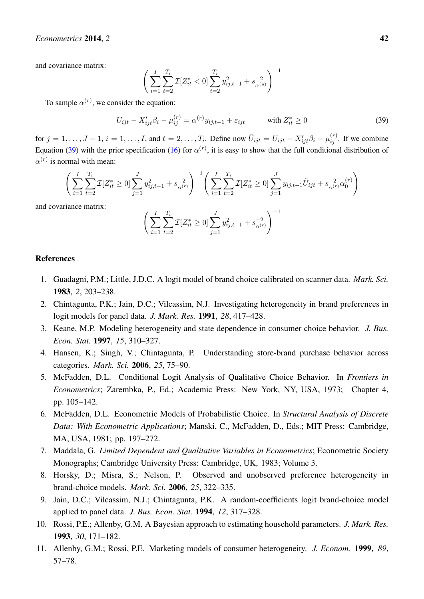## *Econometrics* 2014, 2 42

and covariance matrix:

$$
\Bigg( \sum_{i=1}^{I}\sum_{t=2}^{T_i} \mathcal{I}[Z_{it}^* < 0] \sum_{t=2}^{T_i} y_{ij,t-1}^2 + s_{\alpha^{(u)}}^{-2} \Bigg)^{-1}
$$

To sample  $\alpha^{(r)}$ , we consider the equation:

<span id="page-22-9"></span>
$$
U_{ijt} - X'_{ijt}\beta_i - \mu_{ij}^{(r)} = \alpha^{(r)}y_{ij,t-1} + \varepsilon_{ijt} \qquad \text{with } Z_{it}^* \ge 0 \tag{39}
$$

for  $j = 1, \ldots, J-1$ ,  $i = 1, \ldots, I$ , and  $t = 2, \ldots, T_i$ . Define now  $\tilde{U}_{ijt} = U_{ijt} - X'_{ijt}\beta_i - \mu_{ij}^{(r)}$ . If we combine Equation [\(39\)](#page-22-9) with the prior specification [\(16\)](#page-7-4) for  $\alpha^{(r)}$ , it is easy to show that the full conditional distribution of  $\alpha^{(r)}$  is normal with mean:

$$
\left(\sum_{i=1}^{I} \sum_{t=2}^{T_i} \mathcal{I}[Z_{it}^* \ge 0] \sum_{j=1}^{J} y_{ij,t-1}^2 + s_{\alpha^{(r)}}^{-2} \right)^{-1} \left(\sum_{i=1}^{I} \sum_{t=2}^{T_i} \mathcal{I}[Z_{it}^* \ge 0] \sum_{j=1}^{J} y_{ij,t-1} \tilde{U}_{ijt} + s_{\alpha^{(r)}}^{-2} \alpha_0^{(r)} \right)
$$
  
since matrix:

and covaria

$$
\left(\sum_{i=1}^{I}\sum_{t=2}^{T_i}\mathcal{I}[Z_{it}^*\geq 0]\sum_{j=1}^{J}y_{ij,t-1}^2+s_{\alpha^{(r)}}^{-2}\right)^{-1}
$$

## References

- <span id="page-22-0"></span>1. Guadagni, P.M.; Little, J.D.C. A logit model of brand choice calibrated on scanner data. *Mark. Sci.* 1983, *2*, 203–238.
- 2. Chintagunta, P.K.; Jain, D.C.; Vilcassim, N.J. Investigating heterogeneity in brand preferences in logit models for panel data. *J. Mark. Res.* 1991, *28*, 417–428.
- 3. Keane, M.P. Modeling heterogeneity and state dependence in consumer choice behavior. *J. Bus. Econ. Stat.* 1997, *15*, 310–327.
- <span id="page-22-1"></span>4. Hansen, K.; Singh, V.; Chintagunta, P. Understanding store-brand purchase behavior across categories. *Mark. Sci.* 2006, *25*, 75–90.
- <span id="page-22-2"></span>5. McFadden, D.L. Conditional Logit Analysis of Qualitative Choice Behavior. In *Frontiers in Econometrics*; Zarembka, P., Ed.; Academic Press: New York, NY, USA, 1973; Chapter 4, pp. 105–142.
- <span id="page-22-3"></span>6. McFadden, D.L. Econometric Models of Probabilistic Choice. In *Structural Analysis of Discrete Data: With Econometric Applications*; Manski, C., McFadden, D., Eds.; MIT Press: Cambridge, MA, USA, 1981; pp. 197–272.
- <span id="page-22-4"></span>7. Maddala, G. *Limited Dependent and Qualitative Variables in Econometrics*; Econometric Society Monographs; Cambridge University Press: Cambridge, UK, 1983; Volume 3.
- <span id="page-22-5"></span>8. Horsky, D.; Misra, S.; Nelson, P. Observed and unobserved preference heterogeneity in brand-choice models. *Mark. Sci.* 2006, *25*, 322–335.
- <span id="page-22-6"></span>9. Jain, D.C.; Vilcassim, N.J.; Chintagunta, P.K. A random-coefficients logit brand-choice model applied to panel data. *J. Bus. Econ. Stat.* 1994, *12*, 317–328.
- <span id="page-22-7"></span>10. Rossi, P.E.; Allenby, G.M. A Bayesian approach to estimating household parameters. *J. Mark. Res.* 1993, *30*, 171–182.
- <span id="page-22-8"></span>11. Allenby, G.M.; Rossi, P.E. Marketing models of consumer heterogeneity. *J. Econom.* 1999, *89*, 57–78.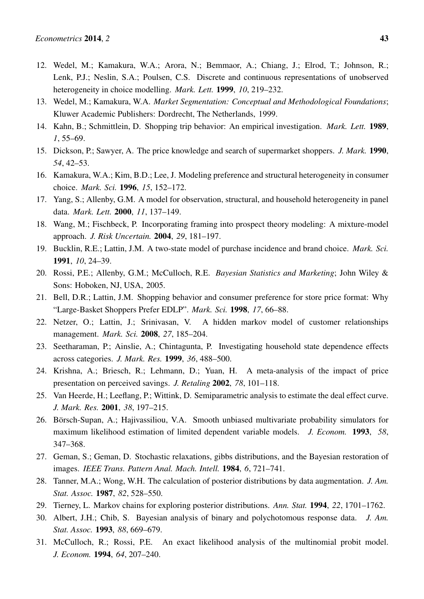- <span id="page-23-0"></span>12. Wedel, M.; Kamakura, W.A.; Arora, N.; Bemmaor, A.; Chiang, J.; Elrod, T.; Johnson, R.; Lenk, P.J.; Neslin, S.A.; Poulsen, C.S. Discrete and continuous representations of unobserved heterogeneity in choice modelling. *Mark. Lett.* 1999, *10*, 219–232.
- <span id="page-23-1"></span>13. Wedel, M.; Kamakura, W.A. *Market Segmentation: Conceptual and Methodological Foundations*; Kluwer Academic Publishers: Dordrecht, The Netherlands, 1999.
- <span id="page-23-2"></span>14. Kahn, B.; Schmittlein, D. Shopping trip behavior: An empirical investigation. *Mark. Lett.* 1989, *1*, 55–69.
- <span id="page-23-3"></span>15. Dickson, P.; Sawyer, A. The price knowledge and search of supermarket shoppers. *J. Mark.* 1990, *54*, 42–53.
- <span id="page-23-4"></span>16. Kamakura, W.A.; Kim, B.D.; Lee, J. Modeling preference and structural heterogeneity in consumer choice. *Mark. Sci.* 1996, *15*, 152–172.
- <span id="page-23-5"></span>17. Yang, S.; Allenby, G.M. A model for observation, structural, and household heterogeneity in panel data. *Mark. Lett.* 2000, *11*, 137–149.
- <span id="page-23-6"></span>18. Wang, M.; Fischbeck, P. Incorporating framing into prospect theory modeling: A mixture-model approach. *J. Risk Uncertain.* 2004, *29*, 181–197.
- <span id="page-23-7"></span>19. Bucklin, R.E.; Lattin, J.M. A two-state model of purchase incidence and brand choice. *Mark. Sci.* 1991, *10*, 24–39.
- <span id="page-23-8"></span>20. Rossi, P.E.; Allenby, G.M.; McCulloch, R.E. *Bayesian Statistics and Marketing*; John Wiley & Sons: Hoboken, NJ, USA, 2005.
- <span id="page-23-9"></span>21. Bell, D.R.; Lattin, J.M. Shopping behavior and consumer preference for store price format: Why "Large-Basket Shoppers Prefer EDLP". *Mark. Sci.* 1998, *17*, 66–88.
- <span id="page-23-10"></span>22. Netzer, O.; Lattin, J.; Srinivasan, V. A hidden markov model of customer relationships management. *Mark. Sci.* 2008, *27*, 185–204.
- <span id="page-23-11"></span>23. Seetharaman, P.; Ainslie, A.; Chintagunta, P. Investigating household state dependence effects across categories. *J. Mark. Res.* 1999, *36*, 488–500.
- <span id="page-23-12"></span>24. Krishna, A.; Briesch, R.; Lehmann, D.; Yuan, H. A meta-analysis of the impact of price presentation on perceived savings. *J. Retaling* 2002, *78*, 101–118.
- <span id="page-23-13"></span>25. Van Heerde, H.; Leeflang, P.; Wittink, D. Semiparametric analysis to estimate the deal effect curve. *J. Mark. Res.* 2001, *38*, 197–215.
- <span id="page-23-14"></span>26. Börsch-Supan, A.; Hajivassiliou, V.A. Smooth unbiased multivariate probability simulators for maximum likelihood estimation of limited dependent variable models. *J. Econom.* 1993, *58*, 347–368.
- <span id="page-23-15"></span>27. Geman, S.; Geman, D. Stochastic relaxations, gibbs distributions, and the Bayesian restoration of images. *IEEE Trans. Pattern Anal. Mach. Intell.* 1984, *6*, 721–741.
- <span id="page-23-16"></span>28. Tanner, M.A.; Wong, W.H. The calculation of posterior distributions by data augmentation. *J. Am. Stat. Assoc.* 1987, *82*, 528–550.
- <span id="page-23-17"></span>29. Tierney, L. Markov chains for exploring posterior distributions. *Ann. Stat.* 1994, *22*, 1701–1762.
- <span id="page-23-18"></span>30. Albert, J.H.; Chib, S. Bayesian analysis of binary and polychotomous response data. *J. Am. Stat. Assoc.* 1993, *88*, 669–679.
- <span id="page-23-19"></span>31. McCulloch, R.; Rossi, P.E. An exact likelihood analysis of the multinomial probit model. *J. Econom.* 1994, *64*, 207–240.